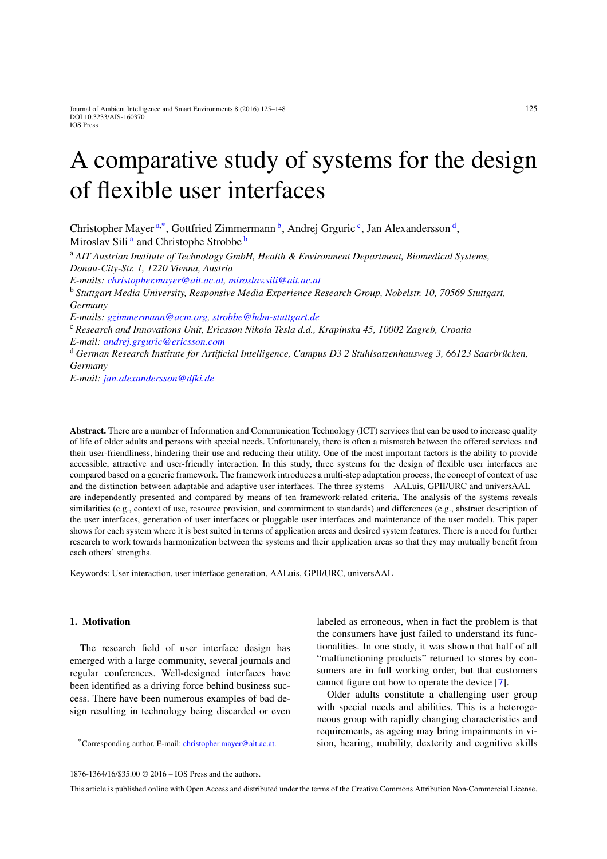# A comparative study of systems for the design of flexible user interfaces

<span id="page-0-0"></span>Christopher Mayer<sup>[a,](#page-0-0)[\\*](#page-0-1)</sup>, Gottfried Zimmermann<sup>b</sup>, Andrej Grguri[c](#page-0-3)<sup>c</sup>, Jan Alexandersson<sup>d</sup>, Mirosl[a](#page-0-0)v Sili<sup>a</sup> and Christophe Stro[b](#page-0-2)be<sup>b</sup>

<sup>a</sup> *AIT Austrian Institute of Technology GmbH, Health & Environment Department, Biomedical Systems, Donau-City-Str. 1, 1220 Vienna, Austria*

<span id="page-0-2"></span>*E-mails: [christopher.mayer@ait.ac.at,](mailto:christopher.mayer@ait.ac.at) [miroslav.sili@ait.ac.at](mailto:miroslav.sili@ait.ac.at)*

<sup>b</sup> *Stuttgart Media University, Responsive Media Experience Research Group, Nobelstr. 10, 70569 Stuttgart, Germany*

<span id="page-0-3"></span>*E-mails: [gzimmermann@acm.org,](mailto:gzimmermann@acm.org) [strobbe@hdm-stuttgart.de](mailto:strobbe@hdm-stuttgart.de)*

<sup>c</sup> *Research and Innovations Unit, Ericsson Nikola Tesla d.d., Krapinska 45, 10002 Zagreb, Croatia E-mail: [andrej.grguric@ericsson.com](mailto:andrej.grguric@ericsson.com)*

<span id="page-0-4"></span><sup>d</sup> *German Research Institute for Artificial Intelligence, Campus D3 2 Stuhlsatzenhausweg 3, 66123 Saarbrücken, Germany*

*E-mail: [jan.alexandersson@dfki.de](mailto:jan.alexandersson@dfki.de)*

**Abstract.** There are a number of Information and Communication Technology (ICT) services that can be used to increase quality of life of older adults and persons with special needs. Unfortunately, there is often a mismatch between the offered services and their user-friendliness, hindering their use and reducing their utility. One of the most important factors is the ability to provide accessible, attractive and user-friendly interaction. In this study, three systems for the design of flexible user interfaces are compared based on a generic framework. The framework introduces a multi-step adaptation process, the concept of context of use and the distinction between adaptable and adaptive user interfaces. The three systems – AALuis, GPII/URC and universAAL – are independently presented and compared by means of ten framework-related criteria. The analysis of the systems reveals similarities (e.g., context of use, resource provision, and commitment to standards) and differences (e.g., abstract description of the user interfaces, generation of user interfaces or pluggable user interfaces and maintenance of the user model). This paper shows for each system where it is best suited in terms of application areas and desired system features. There is a need for further research to work towards harmonization between the systems and their application areas so that they may mutually benefit from each others' strengths.

Keywords: User interaction, user interface generation, AALuis, GPII/URC, universAAL

# **1. Motivation**

The research field of user interface design has emerged with a large community, several journals and regular conferences. Well-designed interfaces have been identified as a driving force behind business success. There have been numerous examples of bad design resulting in technology being discarded or even labeled as erroneous, when in fact the problem is that the consumers have just failed to understand its functionalities. In one study, it was shown that half of all "malfunctioning products" returned to stores by consumers are in full working order, but that customers cannot figure out how to operate the device [\[7](#page-22-0)].

Older adults constitute a challenging user group with special needs and abilities. This is a heterogeneous group with rapidly changing characteristics and requirements, as ageing may bring impairments in vision, hearing, mobility, dexterity and cognitive skills

<span id="page-0-1"></span><sup>\*</sup>Corresponding author. E-mail: [christopher.mayer@ait.ac.at.](mailto:christopher.mayer@ait.ac.at)

<sup>1876-1364/16/\$35.00 © 2016 –</sup> IOS Press and the authors.

This article is published online with Open Access and distributed under the terms of the Creative Commons Attribution Non-Commercial License.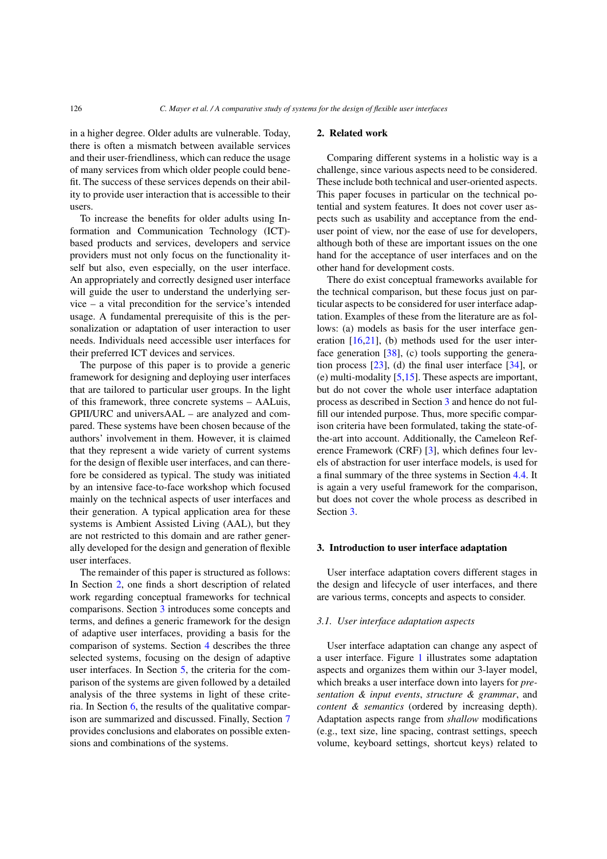in a higher degree. Older adults are vulnerable. Today, there is often a mismatch between available services and their user-friendliness, which can reduce the usage of many services from which older people could benefit. The success of these services depends on their ability to provide user interaction that is accessible to their users.

To increase the benefits for older adults using Information and Communication Technology (ICT) based products and services, developers and service providers must not only focus on the functionality itself but also, even especially, on the user interface. An appropriately and correctly designed user interface will guide the user to understand the underlying service – a vital precondition for the service's intended usage. A fundamental prerequisite of this is the personalization or adaptation of user interaction to user needs. Individuals need accessible user interfaces for their preferred ICT devices and services.

The purpose of this paper is to provide a generic framework for designing and deploying user interfaces that are tailored to particular user groups. In the light of this framework, three concrete systems – AALuis, GPII/URC and universAAL – are analyzed and compared. These systems have been chosen because of the authors' involvement in them. However, it is claimed that they represent a wide variety of current systems for the design of flexible user interfaces, and can therefore be considered as typical. The study was initiated by an intensive face-to-face workshop which focused mainly on the technical aspects of user interfaces and their generation. A typical application area for these systems is Ambient Assisted Living (AAL), but they are not restricted to this domain and are rather generally developed for the design and generation of flexible user interfaces.

The remainder of this paper is structured as follows: In Section [2,](#page-1-0) one finds a short description of related work regarding conceptual frameworks for technical comparisons. Section [3](#page-1-1) introduces some concepts and terms, and defines a generic framework for the design of adaptive user interfaces, providing a basis for the comparison of systems. Section [4](#page-4-0) describes the three selected systems, focusing on the design of adaptive user interfaces. In Section [5,](#page-9-0) the criteria for the comparison of the systems are given followed by a detailed analysis of the three systems in light of these criteria. In Section [6,](#page-17-0) the results of the qualitative comparison are summarized and discussed. Finally, Section [7](#page-21-0) provides conclusions and elaborates on possible extensions and combinations of the systems.

# <span id="page-1-0"></span>**2. Related work**

Comparing different systems in a holistic way is a challenge, since various aspects need to be considered. These include both technical and user-oriented aspects. This paper focuses in particular on the technical potential and system features. It does not cover user aspects such as usability and acceptance from the enduser point of view, nor the ease of use for developers, although both of these are important issues on the one hand for the acceptance of user interfaces and on the other hand for development costs.

There do exist conceptual frameworks available for the technical comparison, but these focus just on particular aspects to be considered for user interface adaptation. Examples of these from the literature are as follows: (a) models as basis for the user interface generation [\[16](#page-22-1)[,21](#page-22-2)], (b) methods used for the user interface generation [\[38](#page-23-0)], (c) tools supporting the generation process [\[23](#page-22-3)], (d) the final user interface [\[34](#page-23-1)], or (e) multi-modality  $[5,15]$  $[5,15]$ . These aspects are important, but do not cover the whole user interface adaptation process as described in Section [3](#page-1-1) and hence do not fulfill our intended purpose. Thus, more specific comparison criteria have been formulated, taking the state-ofthe-art into account. Additionally, the Cameleon Reference Framework (CRF) [\[3\]](#page-22-6), which defines four levels of abstraction for user interface models, is used for a final summary of the three systems in Section [4.4.](#page-9-1) It is again a very useful framework for the comparison, but does not cover the whole process as described in Section [3.](#page-1-1)

#### <span id="page-1-1"></span>**3. Introduction to user interface adaptation**

User interface adaptation covers different stages in the design and lifecycle of user interfaces, and there are various terms, concepts and aspects to consider.

### <span id="page-1-2"></span>*3.1. User interface adaptation aspects*

User interface adaptation can change any aspect of a user interface. Figure [1](#page-2-0) illustrates some adaptation aspects and organizes them within our 3-layer model, which breaks a user interface down into layers for *presentation & input events*, *structure & grammar*, and *content & semantics* (ordered by increasing depth). Adaptation aspects range from *shallow* modifications (e.g., text size, line spacing, contrast settings, speech volume, keyboard settings, shortcut keys) related to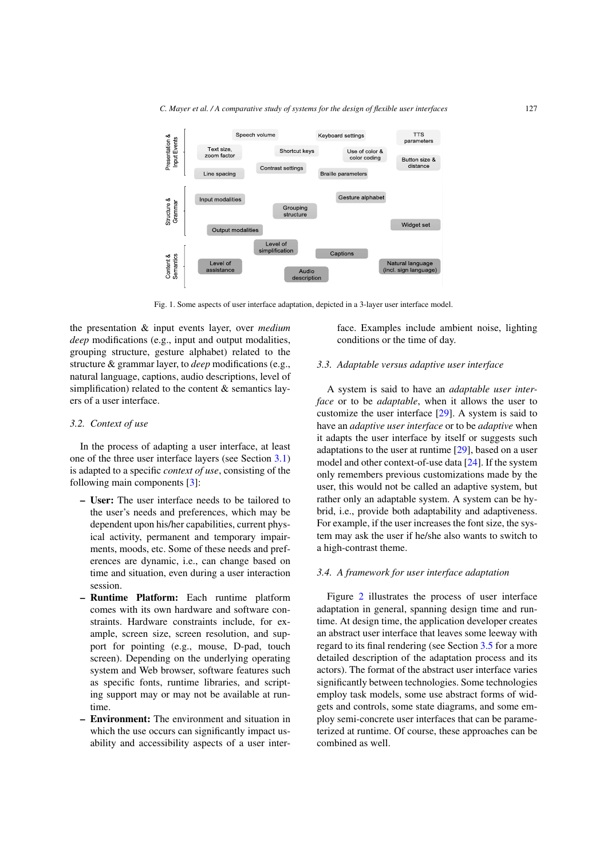

<span id="page-2-0"></span>Fig. 1. Some aspects of user interface adaptation, depicted in a 3-layer user interface model.

the presentation & input events layer, over *medium deep* modifications (e.g., input and output modalities, grouping structure, gesture alphabet) related to the structure & grammar layer, to *deep* modifications (e.g., natural language, captions, audio descriptions, level of simplification) related to the content  $&$  semantics layers of a user interface.

### <span id="page-2-2"></span>*3.2. Context of use*

In the process of adapting a user interface, at least one of the three user interface layers (see Section [3.1\)](#page-1-2) is adapted to a specific *context of use*, consisting of the following main components [\[3\]](#page-22-6):

- **User:** The user interface needs to be tailored to the user's needs and preferences, which may be dependent upon his/her capabilities, current physical activity, permanent and temporary impairments, moods, etc. Some of these needs and preferences are dynamic, i.e., can change based on time and situation, even during a user interaction session.
- **Runtime Platform:** Each runtime platform comes with its own hardware and software constraints. Hardware constraints include, for example, screen size, screen resolution, and support for pointing (e.g., mouse, D-pad, touch screen). Depending on the underlying operating system and Web browser, software features such as specific fonts, runtime libraries, and scripting support may or may not be available at runtime.
- **Environment:** The environment and situation in which the use occurs can significantly impact usability and accessibility aspects of a user inter-

face. Examples include ambient noise, lighting conditions or the time of day.

### <span id="page-2-3"></span>*3.3. Adaptable versus adaptive user interface*

A system is said to have an *adaptable user interface* or to be *adaptable*, when it allows the user to customize the user interface [\[29](#page-23-2)]. A system is said to have an *adaptive user interface* or to be *adaptive* when it adapts the user interface by itself or suggests such adaptations to the user at runtime [\[29\]](#page-23-2), based on a user model and other context-of-use data [\[24](#page-22-7)]. If the system only remembers previous customizations made by the user, this would not be called an adaptive system, but rather only an adaptable system. A system can be hybrid, i.e., provide both adaptability and adaptiveness. For example, if the user increases the font size, the system may ask the user if he/she also wants to switch to a high-contrast theme.

#### <span id="page-2-1"></span>*3.4. A framework for user interface adaptation*

Figure [2](#page-3-0) illustrates the process of user interface adaptation in general, spanning design time and runtime. At design time, the application developer creates an abstract user interface that leaves some leeway with regard to its final rendering (see Section [3.5](#page-3-1) for a more detailed description of the adaptation process and its actors). The format of the abstract user interface varies significantly between technologies. Some technologies employ task models, some use abstract forms of widgets and controls, some state diagrams, and some employ semi-concrete user interfaces that can be parameterized at runtime. Of course, these approaches can be combined as well.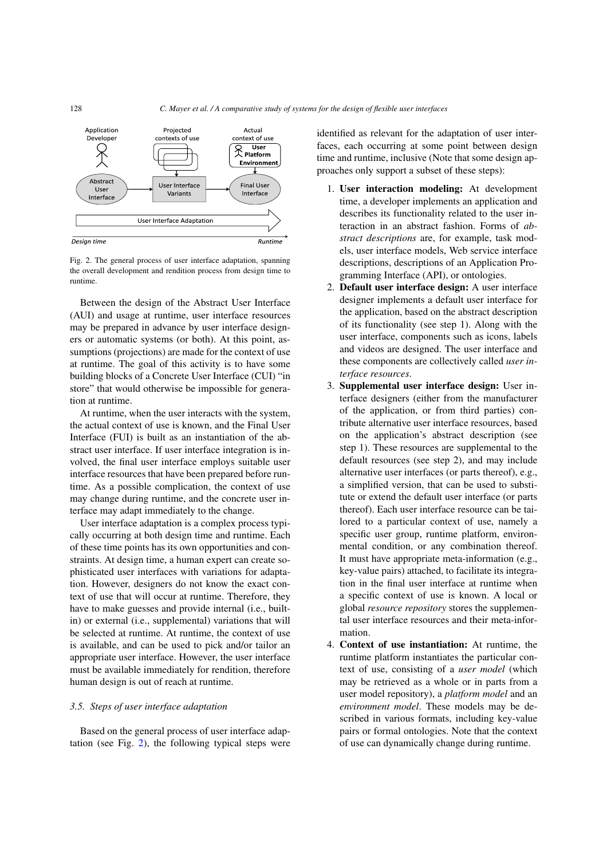

<span id="page-3-0"></span>Fig. 2. The general process of user interface adaptation, spanning the overall development and rendition process from design time to runtime.

Between the design of the Abstract User Interface (AUI) and usage at runtime, user interface resources may be prepared in advance by user interface designers or automatic systems (or both). At this point, assumptions (projections) are made for the context of use at runtime. The goal of this activity is to have some building blocks of a Concrete User Interface (CUI) "in store" that would otherwise be impossible for generation at runtime.

At runtime, when the user interacts with the system, the actual context of use is known, and the Final User Interface (FUI) is built as an instantiation of the abstract user interface. If user interface integration is involved, the final user interface employs suitable user interface resources that have been prepared before runtime. As a possible complication, the context of use may change during runtime, and the concrete user interface may adapt immediately to the change.

User interface adaptation is a complex process typically occurring at both design time and runtime. Each of these time points has its own opportunities and constraints. At design time, a human expert can create sophisticated user interfaces with variations for adaptation. However, designers do not know the exact context of use that will occur at runtime. Therefore, they have to make guesses and provide internal (i.e., builtin) or external (i.e., supplemental) variations that will be selected at runtime. At runtime, the context of use is available, and can be used to pick and/or tailor an appropriate user interface. However, the user interface must be available immediately for rendition, therefore human design is out of reach at runtime.

#### <span id="page-3-1"></span>*3.5. Steps of user interface adaptation*

Based on the general process of user interface adaptation (see Fig. [2\)](#page-3-0), the following typical steps were identified as relevant for the adaptation of user interfaces, each occurring at some point between design time and runtime, inclusive (Note that some design approaches only support a subset of these steps):

- 1. **User interaction modeling:** At development time, a developer implements an application and describes its functionality related to the user interaction in an abstract fashion. Forms of *abstract descriptions* are, for example, task models, user interface models, Web service interface descriptions, descriptions of an Application Programming Interface (API), or ontologies.
- 2. **Default user interface design:** A user interface designer implements a default user interface for the application, based on the abstract description of its functionality (see step 1). Along with the user interface, components such as icons, labels and videos are designed. The user interface and these components are collectively called *user interface resources*.
- 3. **Supplemental user interface design:** User interface designers (either from the manufacturer of the application, or from third parties) contribute alternative user interface resources, based on the application's abstract description (see step 1). These resources are supplemental to the default resources (see step 2), and may include alternative user interfaces (or parts thereof), e.g., a simplified version, that can be used to substitute or extend the default user interface (or parts thereof). Each user interface resource can be tailored to a particular context of use, namely a specific user group, runtime platform, environmental condition, or any combination thereof. It must have appropriate meta-information (e.g., key-value pairs) attached, to facilitate its integration in the final user interface at runtime when a specific context of use is known. A local or global *resource repository* stores the supplemental user interface resources and their meta-information.
- 4. **Context of use instantiation:** At runtime, the runtime platform instantiates the particular context of use, consisting of a *user model* (which may be retrieved as a whole or in parts from a user model repository), a *platform model* and an *environment model*. These models may be described in various formats, including key-value pairs or formal ontologies. Note that the context of use can dynamically change during runtime.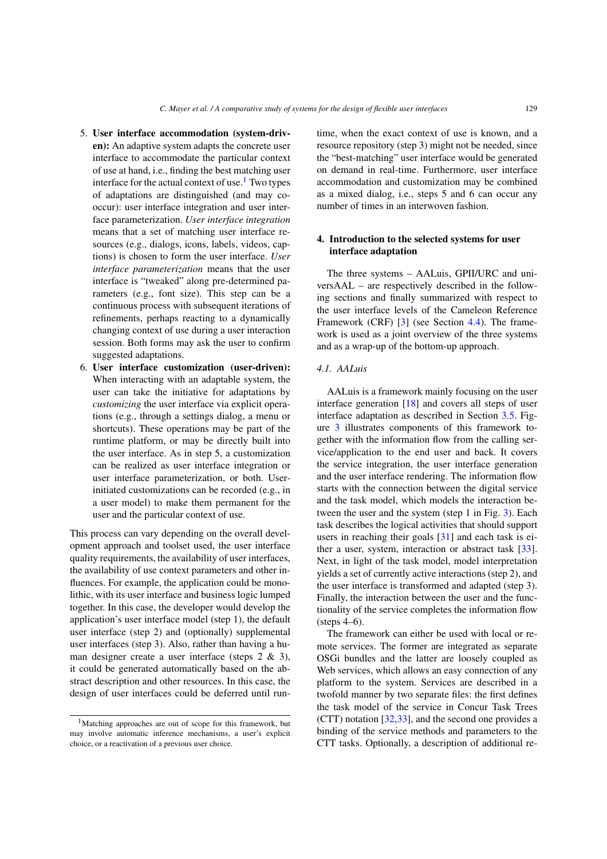- 5. **User interface accommodation (system-driven):** An adaptive system adapts the concrete user interface to accommodate the particular context of use at hand, i.e., finding the best matching user interface for the actual context of use.<sup>1</sup> Two types of adaptations are distinguished (and may cooccur): user interface integration and user interface parameterization. *User interface integration* means that a set of matching user interface resources (e.g., dialogs, icons, labels, videos, captions) is chosen to form the user interface. *User interface parameterization* means that the user interface is "tweaked" along pre-determined parameters (e.g., font size). This step can be a continuous process with subsequent iterations of refinements, perhaps reacting to a dynamically changing context of use during a user interaction session. Both forms may ask the user to confirm suggested adaptations.
- 6. **User interface customization (user-driven):** When interacting with an adaptable system, the user can take the initiative for adaptations by *customizing* the user interface via explicit operations (e.g., through a settings dialog, a menu or shortcuts). These operations may be part of the runtime platform, or may be directly built into the user interface. As in step 5, a customization can be realized as user interface integration or user interface parameterization, or both. Userinitiated customizations can be recorded (e.g., in a user model) to make them permanent for the user and the particular context of use.

This process can vary depending on the overall development approach and toolset used, the user interface quality requirements, the availability of user interfaces, the availability of use context parameters and other influences. For example, the application could be monolithic, with its user interface and business logic lumped together. In this case, the developer would develop the application's user interface model (step 1), the default user interface (step 2) and (optionally) supplemental user interfaces (step 3). Also, rather than having a human designer create a user interface (steps 2 & 3), it could be generated automatically based on the abstract description and other resources. In this case, the design of user interfaces could be deferred until runtime, when the exact context of use is known, and a resource repository (step 3) might not be needed, since the "best-matching" user interface would be generated on demand in real-time. Furthermore, user interface accommodation and customization may be combined as a mixed dialog, i.e., steps 5 and 6 can occur any number of times in an interwoven fashion.

# <span id="page-4-0"></span>**4. Introduction to the selected systems for user interface adaptation**

The three systems – AALuis, GPII/URC and universAAL – are respectively described in the following sections and finally summarized with respect to the user interface levels of the Cameleon Reference Framework (CRF) [\[3\]](#page-22-6) (see Section [4.4\)](#page-9-1). The framework is used as a joint overview of the three systems and as a wrap-up of the bottom-up approach.

# *4.1. AALuis*

AALuis is a framework mainly focusing on the user interface generation [\[18\]](#page-22-8) and covers all steps of user interface adaptation as described in Section [3.5.](#page-3-1) Figure [3](#page-5-0) illustrates components of this framework together with the information flow from the calling service/application to the end user and back. It covers the service integration, the user interface generation and the user interface rendering. The information flow starts with the connection between the digital service and the task model, which models the interaction between the user and the system (step 1 in Fig. [3\)](#page-5-0). Each task describes the logical activities that should support users in reaching their goals [\[31\]](#page-23-3) and each task is either a user, system, interaction or abstract task [\[33\]](#page-23-4). Next, in light of the task model, model interpretation yields a set of currently active interactions (step 2), and the user interface is transformed and adapted (step 3). Finally, the interaction between the user and the functionality of the service completes the information flow (steps 4–6).

The framework can either be used with local or remote services. The former are integrated as separate OSGi bundles and the latter are loosely coupled as Web services, which allows an easy connection of any platform to the system. Services are described in a twofold manner by two separate files: the first defines the task model of the service in Concur Task Trees (CTT) notation [\[32](#page-23-5)[,33](#page-23-4)], and the second one provides a binding of the service methods and parameters to the CTT tasks. Optionally, a description of additional re-

<span id="page-4-1"></span><sup>1</sup>Matching approaches are out of scope for this framework, but may involve automatic inference mechanisms, a user's explicit choice, or a reactivation of a previous user choice.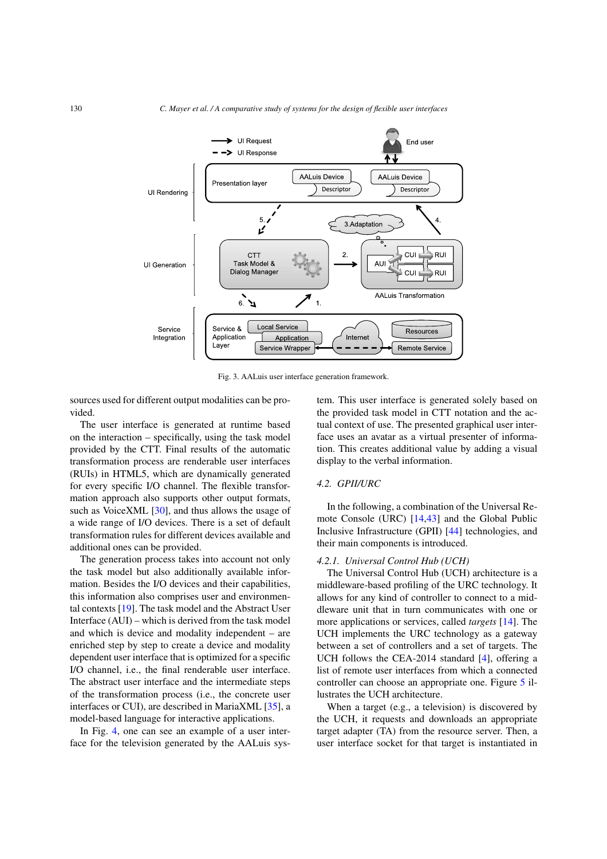

<span id="page-5-0"></span>Fig. 3. AALuis user interface generation framework.

sources used for different output modalities can be provided.

The user interface is generated at runtime based on the interaction – specifically, using the task model provided by the CTT. Final results of the automatic transformation process are renderable user interfaces (RUIs) in HTML5, which are dynamically generated for every specific I/O channel. The flexible transformation approach also supports other output formats, such as VoiceXML [\[30\]](#page-23-6), and thus allows the usage of a wide range of I/O devices. There is a set of default transformation rules for different devices available and additional ones can be provided.

The generation process takes into account not only the task model but also additionally available information. Besides the I/O devices and their capabilities, this information also comprises user and environmental contexts [\[19\]](#page-22-9). The task model and the Abstract User Interface (AUI) – which is derived from the task model and which is device and modality independent – are enriched step by step to create a device and modality dependent user interface that is optimized for a specific I/O channel, i.e., the final renderable user interface. The abstract user interface and the intermediate steps of the transformation process (i.e., the concrete user interfaces or CUI), are described in MariaXML [\[35](#page-23-7)], a model-based language for interactive applications.

In Fig. [4,](#page-6-0) one can see an example of a user interface for the television generated by the AALuis sys-

tem. This user interface is generated solely based on the provided task model in CTT notation and the actual context of use. The presented graphical user interface uses an avatar as a virtual presenter of information. This creates additional value by adding a visual display to the verbal information.

#### <span id="page-5-1"></span>*4.2. GPII/URC*

In the following, a combination of the Universal Remote Console (URC) [\[14](#page-22-10)[,43](#page-23-8)] and the Global Public Inclusive Infrastructure (GPII) [\[44\]](#page-23-9) technologies, and their main components is introduced.

#### *4.2.1. Universal Control Hub (UCH)*

The Universal Control Hub (UCH) architecture is a middleware-based profiling of the URC technology. It allows for any kind of controller to connect to a middleware unit that in turn communicates with one or more applications or services, called *targets* [\[14\]](#page-22-10). The UCH implements the URC technology as a gateway between a set of controllers and a set of targets. The UCH follows the CEA-2014 standard [\[4](#page-22-11)], offering a list of remote user interfaces from which a connected controller can choose an appropriate one. Figure [5](#page-6-1) illustrates the UCH architecture.

When a target (e.g., a television) is discovered by the UCH, it requests and downloads an appropriate target adapter (TA) from the resource server. Then, a user interface socket for that target is instantiated in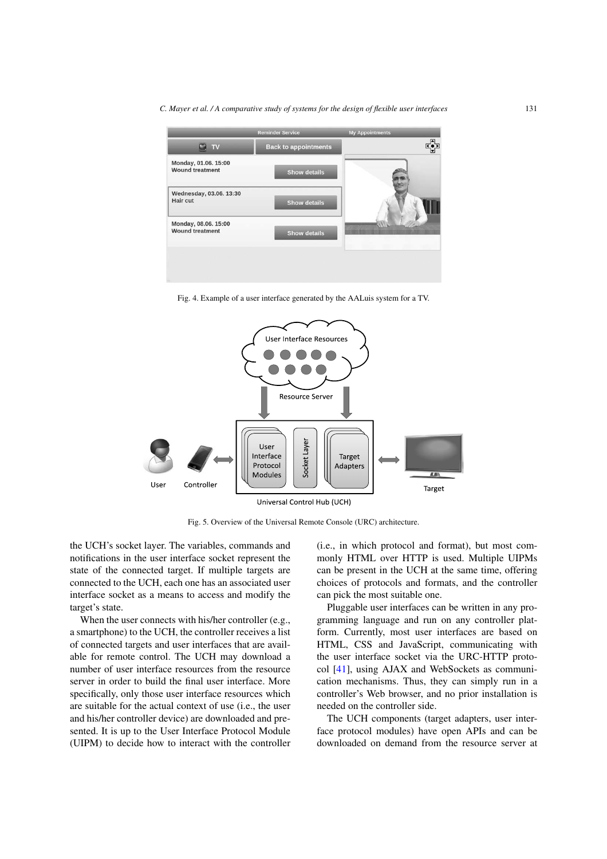*C. Mayer et al. / A comparative study of systems for the design of flexible user interfaces* 131



<span id="page-6-0"></span>Fig. 4. Example of a user interface generated by the AALuis system for a TV.



<span id="page-6-1"></span>Fig. 5. Overview of the Universal Remote Console (URC) architecture.

the UCH's socket layer. The variables, commands and notifications in the user interface socket represent the state of the connected target. If multiple targets are connected to the UCH, each one has an associated user interface socket as a means to access and modify the target's state.

When the user connects with his/her controller (e.g., a smartphone) to the UCH, the controller receives a list of connected targets and user interfaces that are available for remote control. The UCH may download a number of user interface resources from the resource server in order to build the final user interface. More specifically, only those user interface resources which are suitable for the actual context of use (i.e., the user and his/her controller device) are downloaded and presented. It is up to the User Interface Protocol Module (UIPM) to decide how to interact with the controller (i.e., in which protocol and format), but most commonly HTML over HTTP is used. Multiple UIPMs can be present in the UCH at the same time, offering choices of protocols and formats, and the controller can pick the most suitable one.

Pluggable user interfaces can be written in any programming language and run on any controller platform. Currently, most user interfaces are based on HTML, CSS and JavaScript, communicating with the user interface socket via the URC-HTTP protocol [\[41\]](#page-23-10), using AJAX and WebSockets as communication mechanisms. Thus, they can simply run in a controller's Web browser, and no prior installation is needed on the controller side.

The UCH components (target adapters, user interface protocol modules) have open APIs and can be downloaded on demand from the resource server at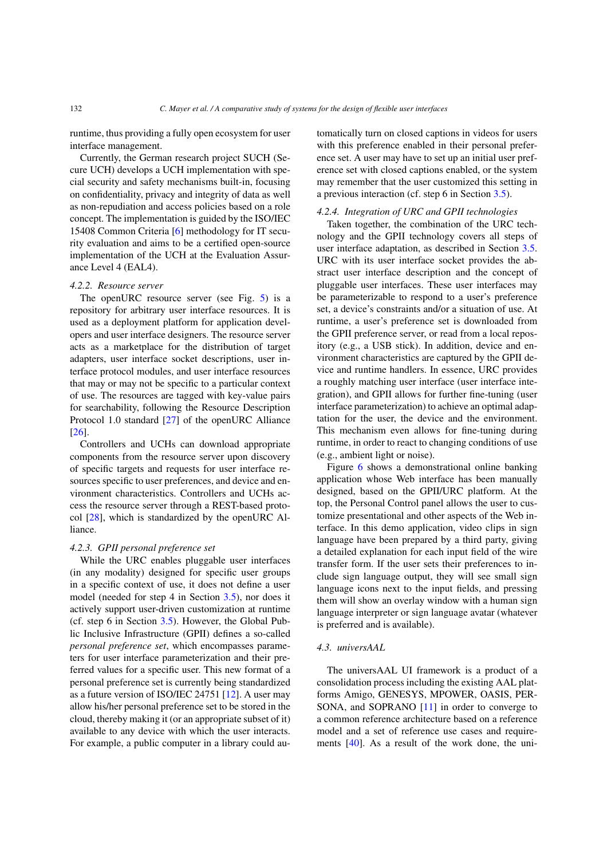runtime, thus providing a fully open ecosystem for user interface management.

Currently, the German research project SUCH (Secure UCH) develops a UCH implementation with special security and safety mechanisms built-in, focusing on confidentiality, privacy and integrity of data as well as non-repudiation and access policies based on a role concept. The implementation is guided by the ISO/IEC 15408 Common Criteria [\[6\]](#page-22-12) methodology for IT security evaluation and aims to be a certified open-source implementation of the UCH at the Evaluation Assurance Level 4 (EAL4).

#### *4.2.2. Resource server*

The openURC resource server (see Fig. [5\)](#page-6-1) is a repository for arbitrary user interface resources. It is used as a deployment platform for application developers and user interface designers. The resource server acts as a marketplace for the distribution of target adapters, user interface socket descriptions, user interface protocol modules, and user interface resources that may or may not be specific to a particular context of use. The resources are tagged with key-value pairs for searchability, following the Resource Description Protocol 1.0 standard [\[27\]](#page-22-13) of the openURC Alliance [\[26\]](#page-22-14).

Controllers and UCHs can download appropriate components from the resource server upon discovery of specific targets and requests for user interface resources specific to user preferences, and device and environment characteristics. Controllers and UCHs access the resource server through a REST-based protocol [\[28](#page-23-11)], which is standardized by the openURC Alliance.

#### *4.2.3. GPII personal preference set*

While the URC enables pluggable user interfaces (in any modality) designed for specific user groups in a specific context of use, it does not define a user model (needed for step 4 in Section [3.5\)](#page-3-1), nor does it actively support user-driven customization at runtime (cf. step 6 in Section [3.5\)](#page-3-1). However, the Global Public Inclusive Infrastructure (GPII) defines a so-called *personal preference set*, which encompasses parameters for user interface parameterization and their preferred values for a specific user. This new format of a personal preference set is currently being standardized as a future version of ISO/IEC 24751 [\[12](#page-22-15)]. A user may allow his/her personal preference set to be stored in the cloud, thereby making it (or an appropriate subset of it) available to any device with which the user interacts. For example, a public computer in a library could automatically turn on closed captions in videos for users with this preference enabled in their personal preference set. A user may have to set up an initial user preference set with closed captions enabled, or the system may remember that the user customized this setting in a previous interaction (cf. step 6 in Section [3.5\)](#page-3-1).

#### *4.2.4. Integration of URC and GPII technologies*

Taken together, the combination of the URC technology and the GPII technology covers all steps of user interface adaptation, as described in Section [3.5.](#page-3-1) URC with its user interface socket provides the abstract user interface description and the concept of pluggable user interfaces. These user interfaces may be parameterizable to respond to a user's preference set, a device's constraints and/or a situation of use. At runtime, a user's preference set is downloaded from the GPII preference server, or read from a local repository (e.g., a USB stick). In addition, device and environment characteristics are captured by the GPII device and runtime handlers. In essence, URC provides a roughly matching user interface (user interface integration), and GPII allows for further fine-tuning (user interface parameterization) to achieve an optimal adaptation for the user, the device and the environment. This mechanism even allows for fine-tuning during runtime, in order to react to changing conditions of use (e.g., ambient light or noise).

Figure [6](#page-8-0) shows a demonstrational online banking application whose Web interface has been manually designed, based on the GPII/URC platform. At the top, the Personal Control panel allows the user to customize presentational and other aspects of the Web interface. In this demo application, video clips in sign language have been prepared by a third party, giving a detailed explanation for each input field of the wire transfer form. If the user sets their preferences to include sign language output, they will see small sign language icons next to the input fields, and pressing them will show an overlay window with a human sign language interpreter or sign language avatar (whatever is preferred and is available).

#### *4.3. universAAL*

The universAAL UI framework is a product of a consolidation process including the existing AAL platforms Amigo, GENESYS, MPOWER, OASIS, PER-SONA, and SOPRANO [\[11](#page-22-16)] in order to converge to a common reference architecture based on a reference model and a set of reference use cases and requirements [\[40](#page-23-12)]. As a result of the work done, the uni-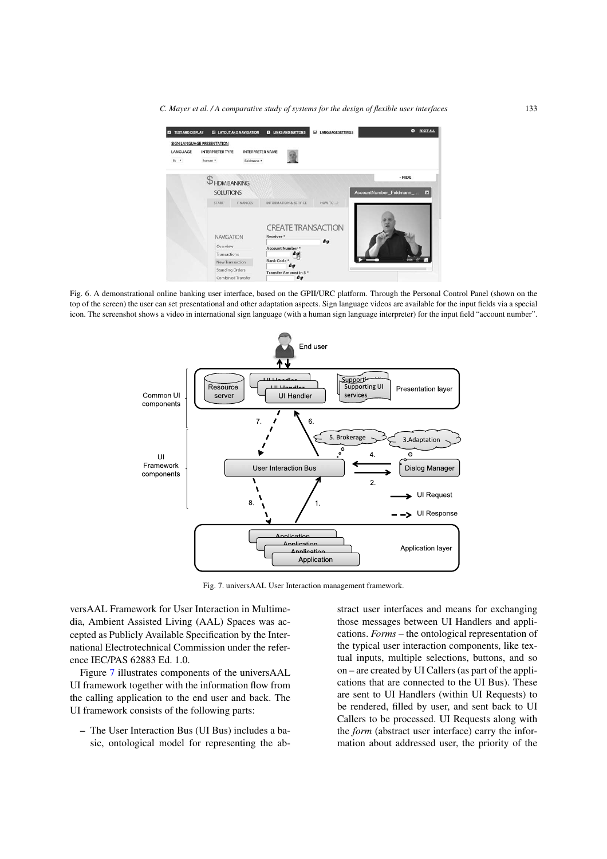*C. Mayer et al. / A comparative study of systems for the design of flexible user interfaces* 133



Fig. 6. A demonstrational online banking user interface, based on the GPII/URC platform. Through the Personal Control Panel (shown on the top of the screen) the user can set presentational and other adaptation aspects. Sign language videos are available for the input fields via a special icon. The screenshot shows a video in international sign language (with a human sign language interpreter) for the input field "account number".

<span id="page-8-0"></span>

<span id="page-8-1"></span>Fig. 7. universAAL User Interaction management framework.

versAAL Framework for User Interaction in Multimedia, Ambient Assisted Living (AAL) Spaces was accepted as Publicly Available Specification by the International Electrotechnical Commission under the reference IEC/PAS 62883 Ed. 1.0.

Figure [7](#page-8-1) illustrates components of the universAAL UI framework together with the information flow from the calling application to the end user and back. The UI framework consists of the following parts:

**–** The User Interaction Bus (UI Bus) includes a basic, ontological model for representing the abstract user interfaces and means for exchanging those messages between UI Handlers and applications. *Forms* – the ontological representation of the typical user interaction components, like textual inputs, multiple selections, buttons, and so on – are created by UI Callers (as part of the applications that are connected to the UI Bus). These are sent to UI Handlers (within UI Requests) to be rendered, filled by user, and sent back to UI Callers to be processed. UI Requests along with the *form* (abstract user interface) carry the information about addressed user, the priority of the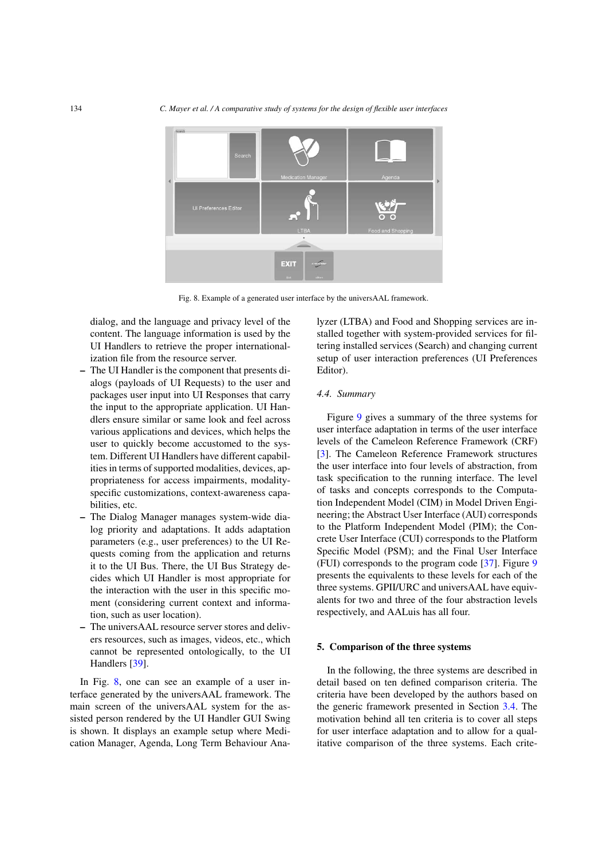

<span id="page-9-2"></span>Fig. 8. Example of a generated user interface by the universAAL framework.

dialog, and the language and privacy level of the content. The language information is used by the UI Handlers to retrieve the proper internationalization file from the resource server.

- **–** The UI Handler is the component that presents dialogs (payloads of UI Requests) to the user and packages user input into UI Responses that carry the input to the appropriate application. UI Handlers ensure similar or same look and feel across various applications and devices, which helps the user to quickly become accustomed to the system. Different UI Handlers have different capabilities in terms of supported modalities, devices, appropriateness for access impairments, modalityspecific customizations, context-awareness capabilities, etc.
- **–** The Dialog Manager manages system-wide dialog priority and adaptations. It adds adaptation parameters (e.g., user preferences) to the UI Requests coming from the application and returns it to the UI Bus. There, the UI Bus Strategy decides which UI Handler is most appropriate for the interaction with the user in this specific moment (considering current context and information, such as user location).
- **–** The universAAL resource server stores and delivers resources, such as images, videos, etc., which cannot be represented ontologically, to the UI Handlers [\[39](#page-23-13)].

In Fig. [8,](#page-9-2) one can see an example of a user interface generated by the universAAL framework. The main screen of the universAAL system for the assisted person rendered by the UI Handler GUI Swing is shown. It displays an example setup where Medication Manager, Agenda, Long Term Behaviour Analyzer (LTBA) and Food and Shopping services are installed together with system-provided services for filtering installed services (Search) and changing current setup of user interaction preferences (UI Preferences Editor).

#### <span id="page-9-1"></span>*4.4. Summary*

Figure [9](#page-10-0) gives a summary of the three systems for user interface adaptation in terms of the user interface levels of the Cameleon Reference Framework (CRF) [\[3\]](#page-22-6). The Cameleon Reference Framework structures the user interface into four levels of abstraction, from task specification to the running interface. The level of tasks and concepts corresponds to the Computation Independent Model (CIM) in Model Driven Engineering; the Abstract User Interface (AUI) corresponds to the Platform Independent Model (PIM); the Concrete User Interface (CUI) corresponds to the Platform Specific Model (PSM); and the Final User Interface (FUI) corresponds to the program code [\[37](#page-23-14)]. Figure [9](#page-10-0) presents the equivalents to these levels for each of the three systems. GPII/URC and universAAL have equivalents for two and three of the four abstraction levels respectively, and AALuis has all four.

### <span id="page-9-0"></span>**5. Comparison of the three systems**

In the following, the three systems are described in detail based on ten defined comparison criteria. The criteria have been developed by the authors based on the generic framework presented in Section [3.4.](#page-2-1) The motivation behind all ten criteria is to cover all steps for user interface adaptation and to allow for a qualitative comparison of the three systems. Each crite-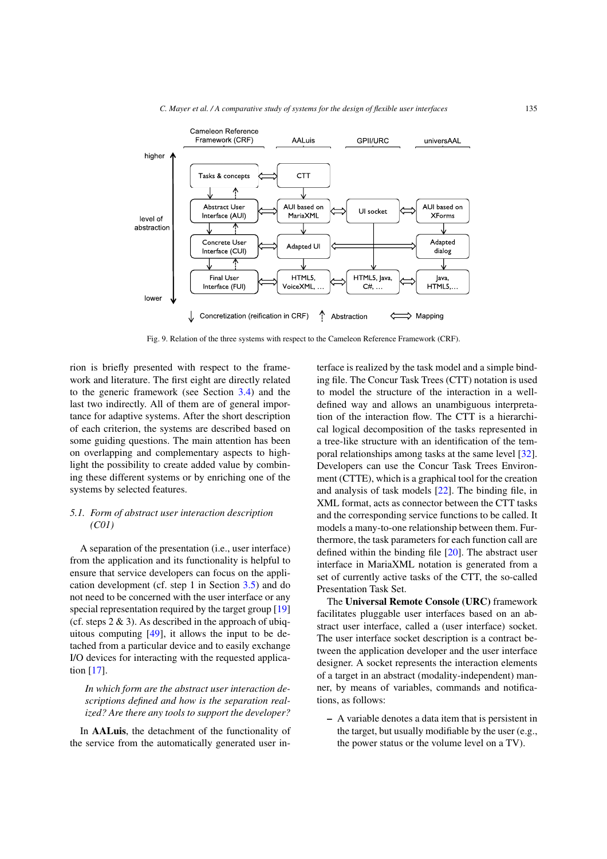*C. Mayer et al. / A comparative study of systems for the design of flexible user interfaces* 135



<span id="page-10-0"></span>Fig. 9. Relation of the three systems with respect to the Cameleon Reference Framework (CRF).

rion is briefly presented with respect to the framework and literature. The first eight are directly related to the generic framework (see Section [3.4\)](#page-2-1) and the last two indirectly. All of them are of general importance for adaptive systems. After the short description of each criterion, the systems are described based on some guiding questions. The main attention has been on overlapping and complementary aspects to highlight the possibility to create added value by combining these different systems or by enriching one of the systems by selected features.

# *5.1. Form of abstract user interaction description (C01)*

A separation of the presentation (i.e., user interface) from the application and its functionality is helpful to ensure that service developers can focus on the application development (cf. step 1 in Section [3.5\)](#page-3-1) and do not need to be concerned with the user interface or any special representation required by the target group [\[19](#page-22-9)] (cf. steps  $2 \& 3$ ). As described in the approach of ubiquitous computing  $[49]$ , it allows the input to be detached from a particular device and to easily exchange I/O devices for interacting with the requested application [\[17\]](#page-22-17).

*In which form are the abstract user interaction descriptions defined and how is the separation realized? Are there any tools to support the developer?*

In **AALuis**, the detachment of the functionality of the service from the automatically generated user interface is realized by the task model and a simple binding file. The Concur Task Trees (CTT) notation is used to model the structure of the interaction in a welldefined way and allows an unambiguous interpretation of the interaction flow. The CTT is a hierarchical logical decomposition of the tasks represented in a tree-like structure with an identification of the temporal relationships among tasks at the same level [\[32\]](#page-23-5). Developers can use the Concur Task Trees Environment (CTTE), which is a graphical tool for the creation and analysis of task models [\[22](#page-22-18)]. The binding file, in XML format, acts as connector between the CTT tasks and the corresponding service functions to be called. It models a many-to-one relationship between them. Furthermore, the task parameters for each function call are defined within the binding file [\[20\]](#page-22-19). The abstract user interface in MariaXML notation is generated from a set of currently active tasks of the CTT, the so-called Presentation Task Set.

The **Universal Remote Console (URC)** framework facilitates pluggable user interfaces based on an abstract user interface, called a (user interface) socket. The user interface socket description is a contract between the application developer and the user interface designer. A socket represents the interaction elements of a target in an abstract (modality-independent) manner, by means of variables, commands and notifications, as follows:

**–** A variable denotes a data item that is persistent in the target, but usually modifiable by the user (e.g., the power status or the volume level on a TV).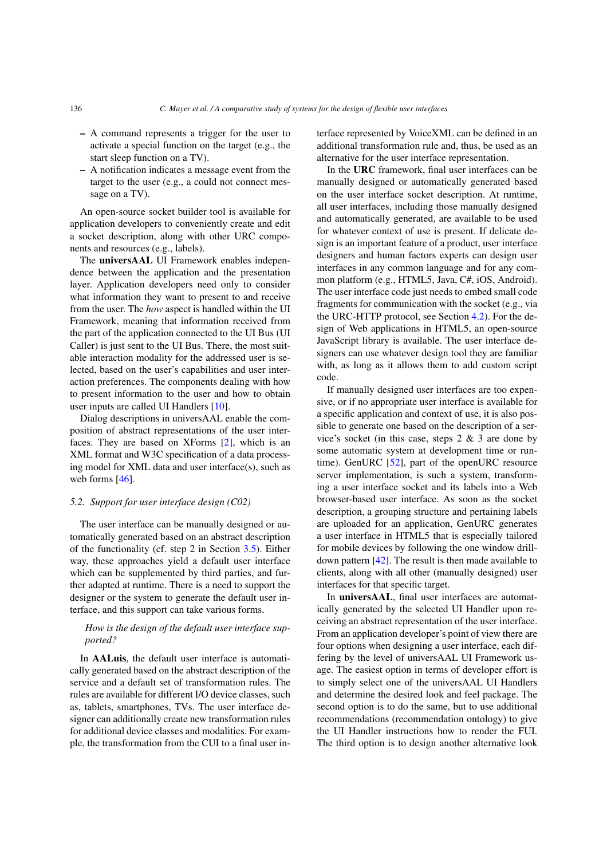- **–** A command represents a trigger for the user to activate a special function on the target (e.g., the start sleep function on a TV).
- **–** A notification indicates a message event from the target to the user (e.g., a could not connect message on a TV).

An open-source socket builder tool is available for application developers to conveniently create and edit a socket description, along with other URC components and resources (e.g., labels).

The **universAAL** UI Framework enables independence between the application and the presentation layer. Application developers need only to consider what information they want to present to and receive from the user. The *how* aspect is handled within the UI Framework, meaning that information received from the part of the application connected to the UI Bus (UI Caller) is just sent to the UI Bus. There, the most suitable interaction modality for the addressed user is selected, based on the user's capabilities and user interaction preferences. The components dealing with how to present information to the user and how to obtain user inputs are called UI Handlers [\[10](#page-22-20)].

Dialog descriptions in universAAL enable the composition of abstract representations of the user interfaces. They are based on XForms [\[2\]](#page-22-21), which is an XML format and W3C specification of a data processing model for XML data and user interface(s), such as web forms [\[46\]](#page-23-16).

#### *5.2. Support for user interface design (C02)*

The user interface can be manually designed or automatically generated based on an abstract description of the functionality (cf. step 2 in Section [3.5\)](#page-3-1). Either way, these approaches yield a default user interface which can be supplemented by third parties, and further adapted at runtime. There is a need to support the designer or the system to generate the default user interface, and this support can take various forms.

# *How is the design of the default user interface supported?*

In **AALuis**, the default user interface is automatically generated based on the abstract description of the service and a default set of transformation rules. The rules are available for different I/O device classes, such as, tablets, smartphones, TVs. The user interface designer can additionally create new transformation rules for additional device classes and modalities. For example, the transformation from the CUI to a final user interface represented by VoiceXML can be defined in an additional transformation rule and, thus, be used as an alternative for the user interface representation.

In the **URC** framework, final user interfaces can be manually designed or automatically generated based on the user interface socket description. At runtime, all user interfaces, including those manually designed and automatically generated, are available to be used for whatever context of use is present. If delicate design is an important feature of a product, user interface designers and human factors experts can design user interfaces in any common language and for any common platform (e.g., HTML5, Java, C#, iOS, Android). The user interface code just needs to embed small code fragments for communication with the socket (e.g., via the URC-HTTP protocol, see Section [4.2\)](#page-5-1). For the design of Web applications in HTML5, an open-source JavaScript library is available. The user interface designers can use whatever design tool they are familiar with, as long as it allows them to add custom script code.

If manually designed user interfaces are too expensive, or if no appropriate user interface is available for a specific application and context of use, it is also possible to generate one based on the description of a service's socket (in this case, steps  $2 \& 3$  are done by some automatic system at development time or runtime). GenURC [\[52](#page-23-17)], part of the openURC resource server implementation, is such a system, transforming a user interface socket and its labels into a Web browser-based user interface. As soon as the socket description, a grouping structure and pertaining labels are uploaded for an application, GenURC generates a user interface in HTML5 that is especially tailored for mobile devices by following the one window drilldown pattern [\[42](#page-23-18)]. The result is then made available to clients, along with all other (manually designed) user interfaces for that specific target.

In **universAAL**, final user interfaces are automatically generated by the selected UI Handler upon receiving an abstract representation of the user interface. From an application developer's point of view there are four options when designing a user interface, each differing by the level of universAAL UI Framework usage. The easiest option in terms of developer effort is to simply select one of the universAAL UI Handlers and determine the desired look and feel package. The second option is to do the same, but to use additional recommendations (recommendation ontology) to give the UI Handler instructions how to render the FUI. The third option is to design another alternative look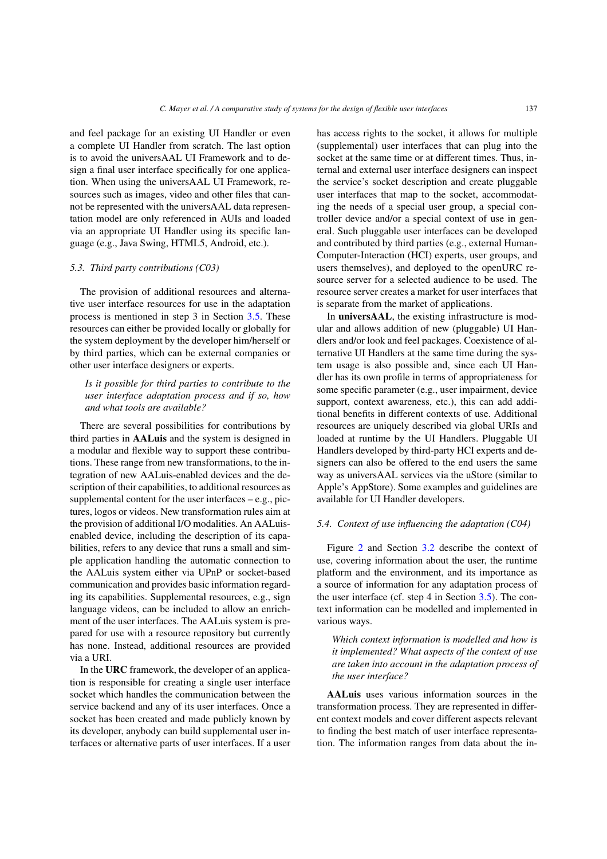and feel package for an existing UI Handler or even a complete UI Handler from scratch. The last option is to avoid the universAAL UI Framework and to design a final user interface specifically for one application. When using the universAAL UI Framework, resources such as images, video and other files that cannot be represented with the universAAL data representation model are only referenced in AUIs and loaded via an appropriate UI Handler using its specific language (e.g., Java Swing, HTML5, Android, etc.).

#### *5.3. Third party contributions (C03)*

The provision of additional resources and alternative user interface resources for use in the adaptation process is mentioned in step 3 in Section [3.5.](#page-3-1) These resources can either be provided locally or globally for the system deployment by the developer him/herself or by third parties, which can be external companies or other user interface designers or experts.

# *Is it possible for third parties to contribute to the user interface adaptation process and if so, how and what tools are available?*

There are several possibilities for contributions by third parties in **AALuis** and the system is designed in a modular and flexible way to support these contributions. These range from new transformations, to the integration of new AALuis-enabled devices and the description of their capabilities, to additional resources as supplemental content for the user interfaces – e.g., pictures, logos or videos. New transformation rules aim at the provision of additional I/O modalities. An AALuisenabled device, including the description of its capabilities, refers to any device that runs a small and simple application handling the automatic connection to the AALuis system either via UPnP or socket-based communication and provides basic information regarding its capabilities. Supplemental resources, e.g., sign language videos, can be included to allow an enrichment of the user interfaces. The AALuis system is prepared for use with a resource repository but currently has none. Instead, additional resources are provided via a URI.

In the **URC** framework, the developer of an application is responsible for creating a single user interface socket which handles the communication between the service backend and any of its user interfaces. Once a socket has been created and made publicly known by its developer, anybody can build supplemental user interfaces or alternative parts of user interfaces. If a user has access rights to the socket, it allows for multiple (supplemental) user interfaces that can plug into the socket at the same time or at different times. Thus, internal and external user interface designers can inspect the service's socket description and create pluggable user interfaces that map to the socket, accommodating the needs of a special user group, a special controller device and/or a special context of use in general. Such pluggable user interfaces can be developed and contributed by third parties (e.g., external Human-Computer-Interaction (HCI) experts, user groups, and users themselves), and deployed to the openURC resource server for a selected audience to be used. The resource server creates a market for user interfaces that is separate from the market of applications.

In **universAAL**, the existing infrastructure is modular and allows addition of new (pluggable) UI Handlers and/or look and feel packages. Coexistence of alternative UI Handlers at the same time during the system usage is also possible and, since each UI Handler has its own profile in terms of appropriateness for some specific parameter (e.g., user impairment, device support, context awareness, etc.), this can add additional benefits in different contexts of use. Additional resources are uniquely described via global URIs and loaded at runtime by the UI Handlers. Pluggable UI Handlers developed by third-party HCI experts and designers can also be offered to the end users the same way as universAAL services via the uStore (similar to Apple's AppStore). Some examples and guidelines are available for UI Handler developers.

#### *5.4. Context of use influencing the adaptation (C04)*

Figure [2](#page-3-0) and Section [3.2](#page-2-2) describe the context of use, covering information about the user, the runtime platform and the environment, and its importance as a source of information for any adaptation process of the user interface (cf. step 4 in Section [3.5\)](#page-3-1). The context information can be modelled and implemented in various ways.

*Which context information is modelled and how is it implemented? What aspects of the context of use are taken into account in the adaptation process of the user interface?*

**AALuis** uses various information sources in the transformation process. They are represented in different context models and cover different aspects relevant to finding the best match of user interface representation. The information ranges from data about the in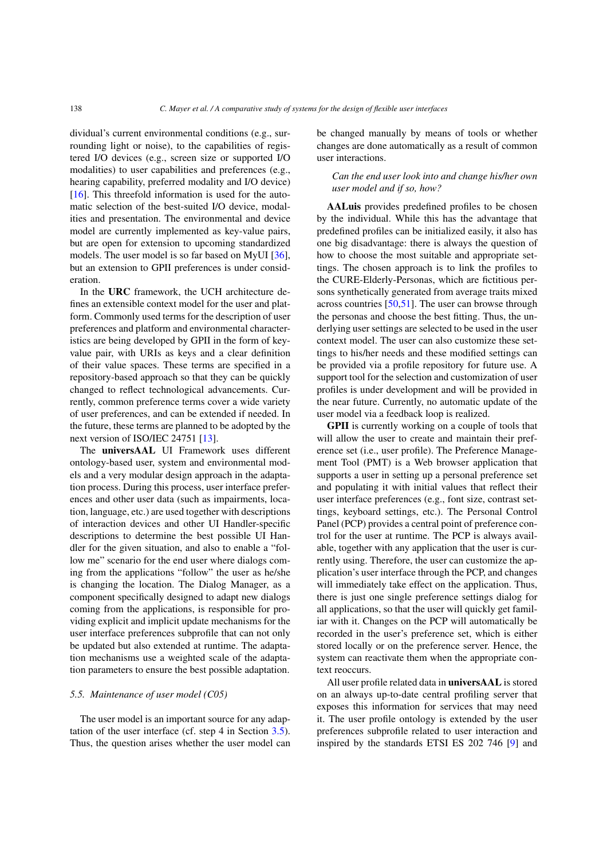dividual's current environmental conditions (e.g., surrounding light or noise), to the capabilities of registered I/O devices (e.g., screen size or supported I/O modalities) to user capabilities and preferences (e.g., hearing capability, preferred modality and I/O device)  $[16]$ . This threefold information is used for the automatic selection of the best-suited I/O device, modalities and presentation. The environmental and device model are currently implemented as key-value pairs, but are open for extension to upcoming standardized models. The user model is so far based on MyUI [\[36\]](#page-23-19), but an extension to GPII preferences is under consideration.

In the **URC** framework, the UCH architecture defines an extensible context model for the user and platform. Commonly used terms for the description of user preferences and platform and environmental characteristics are being developed by GPII in the form of keyvalue pair, with URIs as keys and a clear definition of their value spaces. These terms are specified in a repository-based approach so that they can be quickly changed to reflect technological advancements. Currently, common preference terms cover a wide variety of user preferences, and can be extended if needed. In the future, these terms are planned to be adopted by the next version of ISO/IEC 24751 [\[13](#page-22-22)].

The **universAAL** UI Framework uses different ontology-based user, system and environmental models and a very modular design approach in the adaptation process. During this process, user interface preferences and other user data (such as impairments, location, language, etc.) are used together with descriptions of interaction devices and other UI Handler-specific descriptions to determine the best possible UI Handler for the given situation, and also to enable a "follow me" scenario for the end user where dialogs coming from the applications "follow" the user as he/she is changing the location. The Dialog Manager, as a component specifically designed to adapt new dialogs coming from the applications, is responsible for providing explicit and implicit update mechanisms for the user interface preferences subprofile that can not only be updated but also extended at runtime. The adaptation mechanisms use a weighted scale of the adaptation parameters to ensure the best possible adaptation.

#### <span id="page-13-0"></span>*5.5. Maintenance of user model (C05)*

The user model is an important source for any adaptation of the user interface (cf. step 4 in Section [3.5\)](#page-3-1). Thus, the question arises whether the user model can be changed manually by means of tools or whether changes are done automatically as a result of common user interactions.

# *Can the end user look into and change his/her own user model and if so, how?*

**AALuis** provides predefined profiles to be chosen by the individual. While this has the advantage that predefined profiles can be initialized easily, it also has one big disadvantage: there is always the question of how to choose the most suitable and appropriate settings. The chosen approach is to link the profiles to the CURE-Elderly-Personas, which are fictitious persons synthetically generated from average traits mixed across countries [\[50](#page-23-20)[,51\]](#page-23-21). The user can browse through the personas and choose the best fitting. Thus, the underlying user settings are selected to be used in the user context model. The user can also customize these settings to his/her needs and these modified settings can be provided via a profile repository for future use. A support tool for the selection and customization of user profiles is under development and will be provided in the near future. Currently, no automatic update of the user model via a feedback loop is realized.

**GPII** is currently working on a couple of tools that will allow the user to create and maintain their preference set (i.e., user profile). The Preference Management Tool (PMT) is a Web browser application that supports a user in setting up a personal preference set and populating it with initial values that reflect their user interface preferences (e.g., font size, contrast settings, keyboard settings, etc.). The Personal Control Panel (PCP) provides a central point of preference control for the user at runtime. The PCP is always available, together with any application that the user is currently using. Therefore, the user can customize the application's user interface through the PCP, and changes will immediately take effect on the application. Thus, there is just one single preference settings dialog for all applications, so that the user will quickly get familiar with it. Changes on the PCP will automatically be recorded in the user's preference set, which is either stored locally or on the preference server. Hence, the system can reactivate them when the appropriate context reoccurs.

All user profile related data in **universAAL** is stored on an always up-to-date central profiling server that exposes this information for services that may need it. The user profile ontology is extended by the user preferences subprofile related to user interaction and inspired by the standards ETSI ES 202 746 [\[9](#page-22-23)] and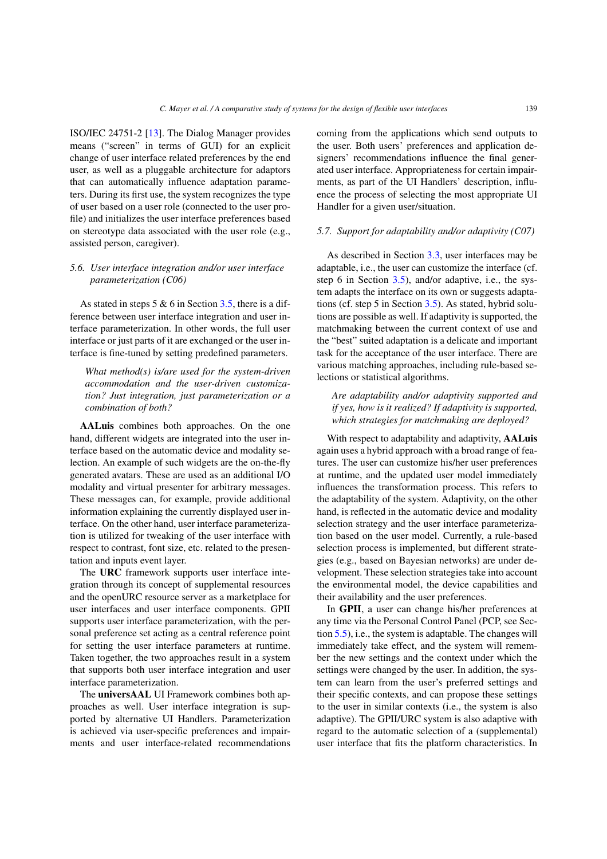ISO/IEC 24751-2 [\[13](#page-22-22)]. The Dialog Manager provides means ("screen" in terms of GUI) for an explicit change of user interface related preferences by the end user, as well as a pluggable architecture for adaptors that can automatically influence adaptation parameters. During its first use, the system recognizes the type of user based on a user role (connected to the user profile) and initializes the user interface preferences based on stereotype data associated with the user role (e.g., assisted person, caregiver).

# <span id="page-14-0"></span>*5.6. User interface integration and/or user interface parameterization (C06)*

As stated in steps  $5 & 6$  in Section [3.5,](#page-3-1) there is a difference between user interface integration and user interface parameterization. In other words, the full user interface or just parts of it are exchanged or the user interface is fine-tuned by setting predefined parameters.

*What method(s) is/are used for the system-driven accommodation and the user-driven customization? Just integration, just parameterization or a combination of both?*

**AALuis** combines both approaches. On the one hand, different widgets are integrated into the user interface based on the automatic device and modality selection. An example of such widgets are the on-the-fly generated avatars. These are used as an additional I/O modality and virtual presenter for arbitrary messages. These messages can, for example, provide additional information explaining the currently displayed user interface. On the other hand, user interface parameterization is utilized for tweaking of the user interface with respect to contrast, font size, etc. related to the presentation and inputs event layer.

The **URC** framework supports user interface integration through its concept of supplemental resources and the openURC resource server as a marketplace for user interfaces and user interface components. GPII supports user interface parameterization, with the personal preference set acting as a central reference point for setting the user interface parameters at runtime. Taken together, the two approaches result in a system that supports both user interface integration and user interface parameterization.

The **universAAL** UI Framework combines both approaches as well. User interface integration is supported by alternative UI Handlers. Parameterization is achieved via user-specific preferences and impairments and user interface-related recommendations coming from the applications which send outputs to the user. Both users' preferences and application designers' recommendations influence the final generated user interface. Appropriateness for certain impairments, as part of the UI Handlers' description, influence the process of selecting the most appropriate UI Handler for a given user/situation.

#### *5.7. Support for adaptability and/or adaptivity (C07)*

As described in Section [3.3,](#page-2-3) user interfaces may be adaptable, i.e., the user can customize the interface (cf. step 6 in Section [3.5\)](#page-3-1), and/or adaptive, i.e., the system adapts the interface on its own or suggests adaptations (cf. step 5 in Section [3.5\)](#page-3-1). As stated, hybrid solutions are possible as well. If adaptivity is supported, the matchmaking between the current context of use and the "best" suited adaptation is a delicate and important task for the acceptance of the user interface. There are various matching approaches, including rule-based selections or statistical algorithms.

*Are adaptability and/or adaptivity supported and if yes, how is it realized? If adaptivity is supported, which strategies for matchmaking are deployed?*

With respect to adaptability and adaptivity, **AALuis** again uses a hybrid approach with a broad range of features. The user can customize his/her user preferences at runtime, and the updated user model immediately influences the transformation process. This refers to the adaptability of the system. Adaptivity, on the other hand, is reflected in the automatic device and modality selection strategy and the user interface parameterization based on the user model. Currently, a rule-based selection process is implemented, but different strategies (e.g., based on Bayesian networks) are under development. These selection strategies take into account the environmental model, the device capabilities and their availability and the user preferences.

In **GPII**, a user can change his/her preferences at any time via the Personal Control Panel (PCP, see Section [5.5\)](#page-13-0), i.e., the system is adaptable. The changes will immediately take effect, and the system will remember the new settings and the context under which the settings were changed by the user. In addition, the system can learn from the user's preferred settings and their specific contexts, and can propose these settings to the user in similar contexts (i.e., the system is also adaptive). The GPII/URC system is also adaptive with regard to the automatic selection of a (supplemental) user interface that fits the platform characteristics. In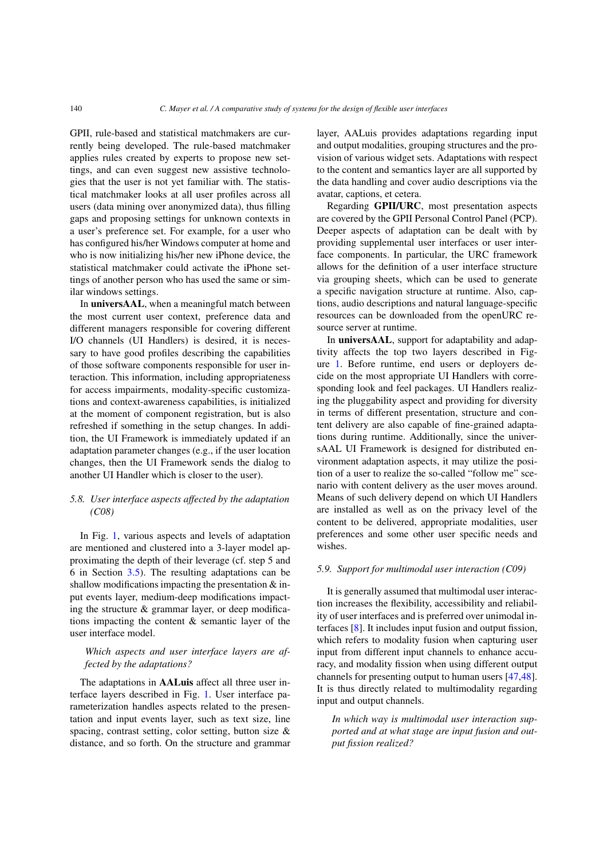GPII, rule-based and statistical matchmakers are currently being developed. The rule-based matchmaker applies rules created by experts to propose new settings, and can even suggest new assistive technologies that the user is not yet familiar with. The statistical matchmaker looks at all user profiles across all users (data mining over anonymized data), thus filling gaps and proposing settings for unknown contexts in a user's preference set. For example, for a user who has configured his/her Windows computer at home and who is now initializing his/her new iPhone device, the statistical matchmaker could activate the iPhone settings of another person who has used the same or similar windows settings.

In **universAAL**, when a meaningful match between the most current user context, preference data and different managers responsible for covering different I/O channels (UI Handlers) is desired, it is necessary to have good profiles describing the capabilities of those software components responsible for user interaction. This information, including appropriateness for access impairments, modality-specific customizations and context-awareness capabilities, is initialized at the moment of component registration, but is also refreshed if something in the setup changes. In addition, the UI Framework is immediately updated if an adaptation parameter changes (e.g., if the user location changes, then the UI Framework sends the dialog to another UI Handler which is closer to the user).

# <span id="page-15-0"></span>*5.8. User interface aspects affected by the adaptation (C08)*

In Fig. [1,](#page-2-0) various aspects and levels of adaptation are mentioned and clustered into a 3-layer model approximating the depth of their leverage (cf. step 5 and 6 in Section [3.5\)](#page-3-1). The resulting adaptations can be shallow modifications impacting the presentation & input events layer, medium-deep modifications impacting the structure  $\&$  grammar layer, or deep modifications impacting the content & semantic layer of the user interface model.

# *Which aspects and user interface layers are affected by the adaptations?*

The adaptations in **AALuis** affect all three user interface layers described in Fig. [1.](#page-2-0) User interface parameterization handles aspects related to the presentation and input events layer, such as text size, line spacing, contrast setting, color setting, button size & distance, and so forth. On the structure and grammar layer, AALuis provides adaptations regarding input and output modalities, grouping structures and the provision of various widget sets. Adaptations with respect to the content and semantics layer are all supported by the data handling and cover audio descriptions via the avatar, captions, et cetera.

Regarding **GPII/URC**, most presentation aspects are covered by the GPII Personal Control Panel (PCP). Deeper aspects of adaptation can be dealt with by providing supplemental user interfaces or user interface components. In particular, the URC framework allows for the definition of a user interface structure via grouping sheets, which can be used to generate a specific navigation structure at runtime. Also, captions, audio descriptions and natural language-specific resources can be downloaded from the openURC resource server at runtime.

In **universAAL**, support for adaptability and adaptivity affects the top two layers described in Figure [1.](#page-2-0) Before runtime, end users or deployers decide on the most appropriate UI Handlers with corresponding look and feel packages. UI Handlers realizing the pluggability aspect and providing for diversity in terms of different presentation, structure and content delivery are also capable of fine-grained adaptations during runtime. Additionally, since the universAAL UI Framework is designed for distributed environment adaptation aspects, it may utilize the position of a user to realize the so-called "follow me" scenario with content delivery as the user moves around. Means of such delivery depend on which UI Handlers are installed as well as on the privacy level of the content to be delivered, appropriate modalities, user preferences and some other user specific needs and wishes.

#### <span id="page-15-1"></span>*5.9. Support for multimodal user interaction (C09)*

It is generally assumed that multimodal user interaction increases the flexibility, accessibility and reliability of user interfaces and is preferred over unimodal interfaces [\[8](#page-22-24)]. It includes input fusion and output fission, which refers to modality fusion when capturing user input from different input channels to enhance accuracy, and modality fission when using different output channels for presenting output to human users [\[47](#page-23-22)[,48\]](#page-23-23). It is thus directly related to multimodality regarding input and output channels.

*In which way is multimodal user interaction supported and at what stage are input fusion and output fission realized?*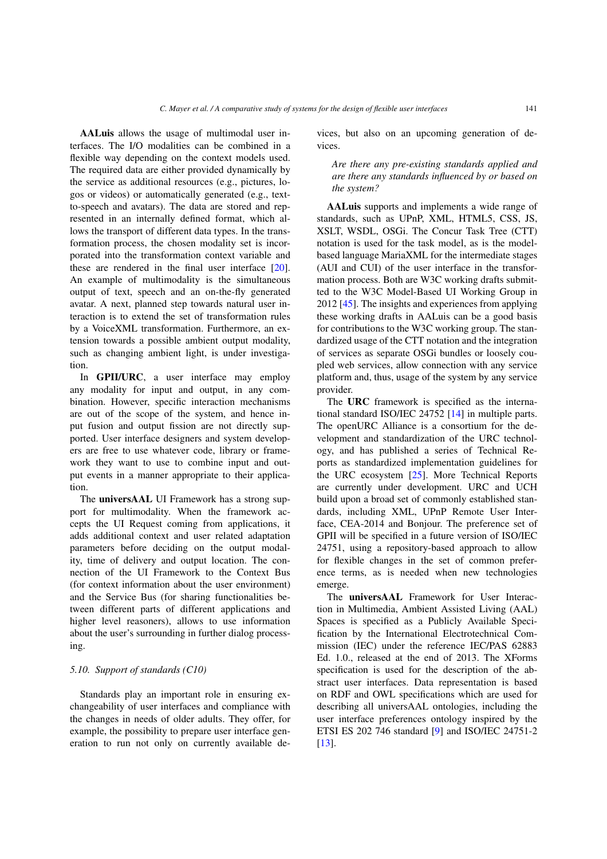**AALuis** allows the usage of multimodal user interfaces. The I/O modalities can be combined in a flexible way depending on the context models used. The required data are either provided dynamically by the service as additional resources (e.g., pictures, logos or videos) or automatically generated (e.g., textto-speech and avatars). The data are stored and represented in an internally defined format, which allows the transport of different data types. In the transformation process, the chosen modality set is incorporated into the transformation context variable and these are rendered in the final user interface [\[20\]](#page-22-19). An example of multimodality is the simultaneous output of text, speech and an on-the-fly generated avatar. A next, planned step towards natural user interaction is to extend the set of transformation rules by a VoiceXML transformation. Furthermore, an extension towards a possible ambient output modality, such as changing ambient light, is under investigation.

In **GPII/URC**, a user interface may employ any modality for input and output, in any combination. However, specific interaction mechanisms are out of the scope of the system, and hence input fusion and output fission are not directly supported. User interface designers and system developers are free to use whatever code, library or framework they want to use to combine input and output events in a manner appropriate to their application.

The **universAAL** UI Framework has a strong support for multimodality. When the framework accepts the UI Request coming from applications, it adds additional context and user related adaptation parameters before deciding on the output modality, time of delivery and output location. The connection of the UI Framework to the Context Bus (for context information about the user environment) and the Service Bus (for sharing functionalities between different parts of different applications and higher level reasoners), allows to use information about the user's surrounding in further dialog processing.

# *5.10. Support of standards (C10)*

Standards play an important role in ensuring exchangeability of user interfaces and compliance with the changes in needs of older adults. They offer, for example, the possibility to prepare user interface generation to run not only on currently available devices, but also on an upcoming generation of devices.

*Are there any pre-existing standards applied and are there any standards influenced by or based on the system?*

**AALuis** supports and implements a wide range of standards, such as UPnP, XML, HTML5, CSS, JS, XSLT, WSDL, OSGi. The Concur Task Tree (CTT) notation is used for the task model, as is the modelbased language MariaXML for the intermediate stages (AUI and CUI) of the user interface in the transformation process. Both are W3C working drafts submitted to the W3C Model-Based UI Working Group in 2012 [\[45\]](#page-23-24). The insights and experiences from applying these working drafts in AALuis can be a good basis for contributions to the W3C working group. The standardized usage of the CTT notation and the integration of services as separate OSGi bundles or loosely coupled web services, allow connection with any service platform and, thus, usage of the system by any service provider.

The **URC** framework is specified as the international standard ISO/IEC 24752 [\[14\]](#page-22-10) in multiple parts. The openURC Alliance is a consortium for the development and standardization of the URC technology, and has published a series of Technical Reports as standardized implementation guidelines for the URC ecosystem [\[25\]](#page-22-25). More Technical Reports are currently under development. URC and UCH build upon a broad set of commonly established standards, including XML, UPnP Remote User Interface, CEA-2014 and Bonjour. The preference set of GPII will be specified in a future version of ISO/IEC 24751, using a repository-based approach to allow for flexible changes in the set of common preference terms, as is needed when new technologies emerge.

The **universAAL** Framework for User Interaction in Multimedia, Ambient Assisted Living (AAL) Spaces is specified as a Publicly Available Specification by the International Electrotechnical Commission (IEC) under the reference IEC/PAS 62883 Ed. 1.0., released at the end of 2013. The XForms specification is used for the description of the abstract user interfaces. Data representation is based on RDF and OWL specifications which are used for describing all universAAL ontologies, including the user interface preferences ontology inspired by the ETSI ES 202 746 standard [\[9](#page-22-23)] and ISO/IEC 24751-2 [\[13\]](#page-22-22).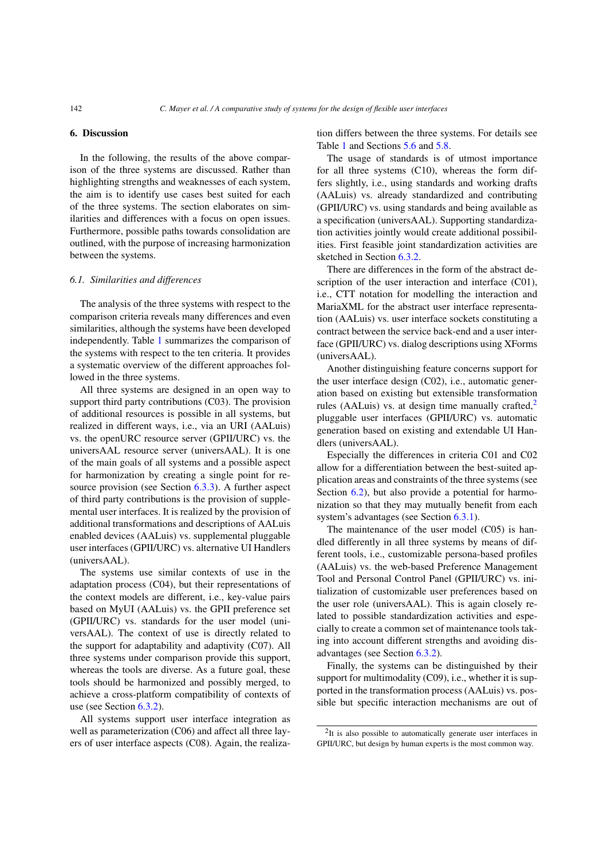# <span id="page-17-0"></span>**6. Discussion**

In the following, the results of the above comparison of the three systems are discussed. Rather than highlighting strengths and weaknesses of each system, the aim is to identify use cases best suited for each of the three systems. The section elaborates on similarities and differences with a focus on open issues. Furthermore, possible paths towards consolidation are outlined, with the purpose of increasing harmonization between the systems.

#### *6.1. Similarities and differences*

The analysis of the three systems with respect to the comparison criteria reveals many differences and even similarities, although the systems have been developed independently. Table [1](#page-18-0) summarizes the comparison of the systems with respect to the ten criteria. It provides a systematic overview of the different approaches followed in the three systems.

All three systems are designed in an open way to support third party contributions (C03). The provision of additional resources is possible in all systems, but realized in different ways, i.e., via an URI (AALuis) vs. the openURC resource server (GPII/URC) vs. the universAAL resource server (universAAL). It is one of the main goals of all systems and a possible aspect for harmonization by creating a single point for resource provision (see Section [6.3.3\)](#page-20-0). A further aspect of third party contributions is the provision of supplemental user interfaces. It is realized by the provision of additional transformations and descriptions of AALuis enabled devices (AALuis) vs. supplemental pluggable user interfaces (GPII/URC) vs. alternative UI Handlers (universAAL).

The systems use similar contexts of use in the adaptation process (C04), but their representations of the context models are different, i.e., key-value pairs based on MyUI (AALuis) vs. the GPII preference set (GPII/URC) vs. standards for the user model (universAAL). The context of use is directly related to the support for adaptability and adaptivity (C07). All three systems under comparison provide this support, whereas the tools are diverse. As a future goal, these tools should be harmonized and possibly merged, to achieve a cross-platform compatibility of contexts of use (see Section [6.3.2\)](#page-20-1).

All systems support user interface integration as well as parameterization (C06) and affect all three layers of user interface aspects (C08). Again, the realization differs between the three systems. For details see Table [1](#page-18-0) and Sections [5.6](#page-14-0) and [5.8.](#page-15-0)

The usage of standards is of utmost importance for all three systems (C10), whereas the form differs slightly, i.e., using standards and working drafts (AALuis) vs. already standardized and contributing (GPII/URC) vs. using standards and being available as a specification (universAAL). Supporting standardization activities jointly would create additional possibilities. First feasible joint standardization activities are sketched in Section [6.3.2.](#page-20-1)

There are differences in the form of the abstract description of the user interaction and interface (C01), i.e., CTT notation for modelling the interaction and MariaXML for the abstract user interface representation (AALuis) vs. user interface sockets constituting a contract between the service back-end and a user interface (GPII/URC) vs. dialog descriptions using XForms (universAAL).

Another distinguishing feature concerns support for the user interface design (C02), i.e., automatic generation based on existing but extensible transformation rules (AALuis) vs. at design time manually crafted, $2$ pluggable user interfaces (GPII/URC) vs. automatic generation based on existing and extendable UI Handlers (universAAL).

Especially the differences in criteria C01 and C02 allow for a differentiation between the best-suited application areas and constraints of the three systems (see Section [6.2\)](#page-19-0), but also provide a potential for harmonization so that they may mutually benefit from each system's advantages (see Section [6.3.1\)](#page-20-2).

The maintenance of the user model (C05) is handled differently in all three systems by means of different tools, i.e., customizable persona-based profiles (AALuis) vs. the web-based Preference Management Tool and Personal Control Panel (GPII/URC) vs. initialization of customizable user preferences based on the user role (universAAL). This is again closely related to possible standardization activities and especially to create a common set of maintenance tools taking into account different strengths and avoiding disadvantages (see Section [6.3.2\)](#page-20-1).

Finally, the systems can be distinguished by their support for multimodality (C09), i.e., whether it is supported in the transformation process (AALuis) vs. possible but specific interaction mechanisms are out of

<span id="page-17-1"></span><sup>&</sup>lt;sup>2</sup>It is also possible to automatically generate user interfaces in GPII/URC, but design by human experts is the most common way.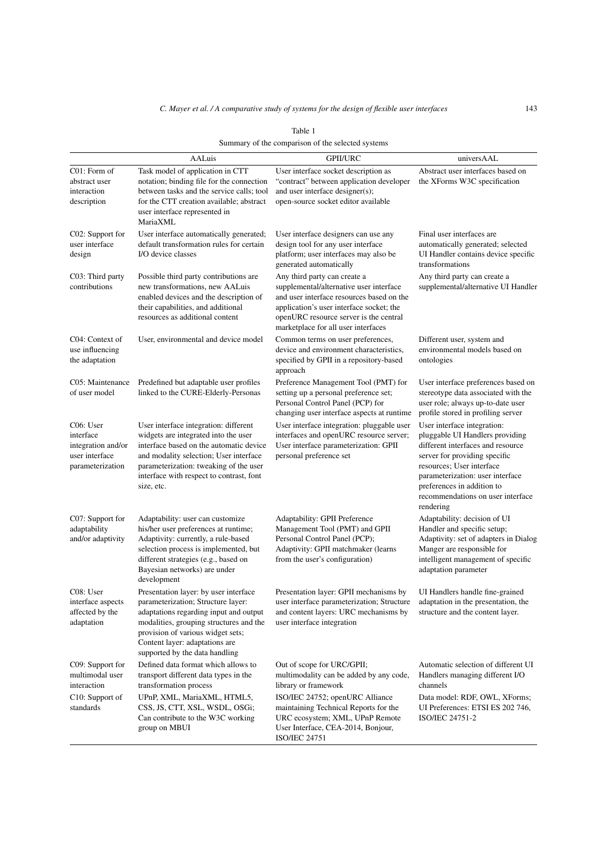<span id="page-18-0"></span>

| Summary of the comparison of the selected systems                                  |                                                                                                                                                                                                                                                                           |                                                                                                                                                                                                                                                   |                                                                                                                                                                                                                                                                                       |
|------------------------------------------------------------------------------------|---------------------------------------------------------------------------------------------------------------------------------------------------------------------------------------------------------------------------------------------------------------------------|---------------------------------------------------------------------------------------------------------------------------------------------------------------------------------------------------------------------------------------------------|---------------------------------------------------------------------------------------------------------------------------------------------------------------------------------------------------------------------------------------------------------------------------------------|
|                                                                                    | AALuis                                                                                                                                                                                                                                                                    | <b>GPII/URC</b>                                                                                                                                                                                                                                   | universAAL                                                                                                                                                                                                                                                                            |
| C01: Form of<br>abstract user<br>interaction<br>description                        | Task model of application in CTT<br>notation; binding file for the connection<br>between tasks and the service calls: tool<br>for the CTT creation available; abstract<br>user interface represented in<br>MariaXML                                                       | User interface socket description as<br>"contract" between application developer<br>and user interface designer(s);<br>open-source socket editor available                                                                                        | Abstract user interfaces based on<br>the XForms W3C specification                                                                                                                                                                                                                     |
| C02: Support for<br>user interface<br>design                                       | User interface automatically generated;<br>default transformation rules for certain<br>I/O device classes                                                                                                                                                                 | User interface designers can use any<br>design tool for any user interface<br>platform; user interfaces may also be<br>generated automatically                                                                                                    | Final user interfaces are<br>automatically generated; selected<br>UI Handler contains device specific<br>transformations                                                                                                                                                              |
| C03: Third party<br>contributions                                                  | Possible third party contributions are<br>new transformations, new AALuis<br>enabled devices and the description of<br>their capabilities, and additional<br>resources as additional content                                                                              | Any third party can create a<br>supplemental/alternative user interface<br>and user interface resources based on the<br>application's user interface socket; the<br>openURC resource server is the central<br>marketplace for all user interfaces | Any third party can create a<br>supplemental/alternative UI Handler                                                                                                                                                                                                                   |
| C04: Context of<br>use influencing<br>the adaptation                               | User, environmental and device model                                                                                                                                                                                                                                      | Common terms on user preferences,<br>device and environment characteristics,<br>specified by GPII in a repository-based<br>approach                                                                                                               | Different user, system and<br>environmental models based on<br>ontologies                                                                                                                                                                                                             |
| C05: Maintenance<br>of user model                                                  | Predefined but adaptable user profiles<br>linked to the CURE-Elderly-Personas                                                                                                                                                                                             | Preference Management Tool (PMT) for<br>setting up a personal preference set;<br>Personal Control Panel (PCP) for<br>changing user interface aspects at runtime                                                                                   | User interface preferences based on<br>stereotype data associated with the<br>user role; always up-to-date user<br>profile stored in profiling server                                                                                                                                 |
| C06: User<br>interface<br>integration and/or<br>user interface<br>parameterization | User interface integration: different<br>widgets are integrated into the user<br>interface based on the automatic device<br>and modality selection; User interface<br>parameterization: tweaking of the user<br>interface with respect to contrast, font<br>size, etc.    | User interface integration: pluggable user<br>interfaces and openURC resource server;<br>User interface parameterization: GPII<br>personal preference set                                                                                         | User interface integration:<br>pluggable UI Handlers providing<br>different interfaces and resource<br>server for providing specific<br>resources; User interface<br>parameterization: user interface<br>preferences in addition to<br>recommendations on user interface<br>rendering |
| C07: Support for<br>adaptability<br>and/or adaptivity                              | Adaptability: user can customize<br>his/her user preferences at runtime;<br>Adaptivity: currently, a rule-based<br>selection process is implemented, but<br>different strategies (e.g., based on<br>Bayesian networks) are under<br>development                           | Adaptability: GPII Preference<br>Management Tool (PMT) and GPII<br>Personal Control Panel (PCP);<br>Adaptivity: GPII matchmaker (learns<br>from the user's configuration)                                                                         | Adaptability: decision of UI<br>Handler and specific setup;<br>Adaptivity: set of adapters in Dialog<br>Manger are responsible for<br>intelligent management of specific<br>adaptation parameter                                                                                      |
| C08: User<br>interface aspects<br>affected by the<br>adaptation                    | Presentation layer: by user interface<br>parameterization; Structure layer:<br>adaptations regarding input and output<br>modalities, grouping structures and the<br>provision of various widget sets;<br>Content layer: adaptations are<br>supported by the data handling | Presentation layer: GPII mechanisms by<br>user interface parameterization; Structure<br>and content layers: URC mechanisms by<br>user interface integration                                                                                       | UI Handlers handle fine-grained<br>adaptation in the presentation, the<br>structure and the content layer.                                                                                                                                                                            |
| C09: Support for<br>multimodal user<br>interaction                                 | Defined data format which allows to<br>transport different data types in the<br>transformation process                                                                                                                                                                    | Out of scope for URC/GPII;<br>multimodality can be added by any code,<br>library or framework                                                                                                                                                     | Automatic selection of different UI<br>Handlers managing different I/O<br>channels                                                                                                                                                                                                    |
| C10: Support of<br>standards                                                       | UPnP, XML, MariaXML, HTML5,<br>CSS, JS, CTT, XSL, WSDL, OSGi;<br>Can contribute to the W3C working                                                                                                                                                                        | ISO/IEC 24752; openURC Alliance<br>maintaining Technical Reports for the<br>URC ecosystem; XML, UPnP Remote                                                                                                                                       | Data model: RDF, OWL, XForms;<br>UI Preferences: ETSI ES 202 746,<br>ISO/IEC 24751-2                                                                                                                                                                                                  |

URC ecosystem; XML, UPnP Remote User Interface, CEA-2014, Bonjour,

ISO/IEC 24751

group on MBUI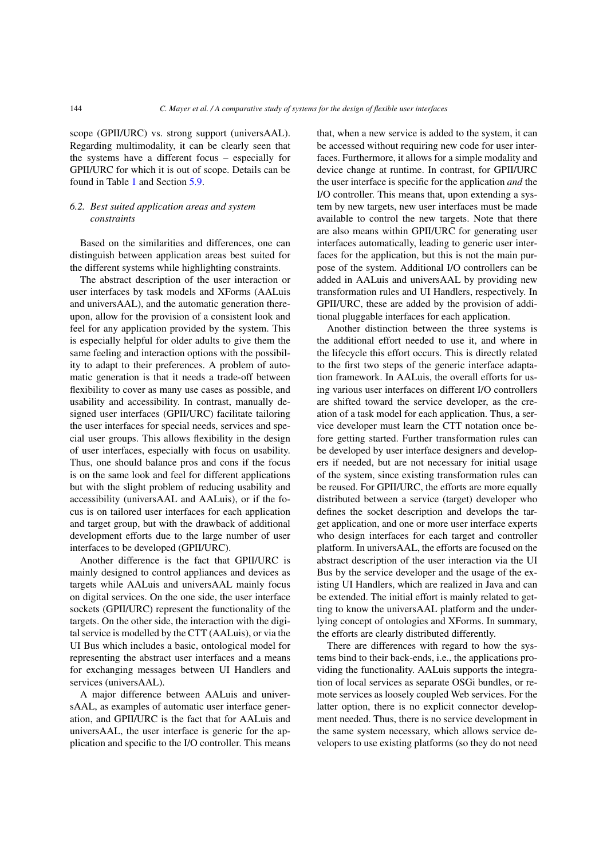scope (GPII/URC) vs. strong support (universAAL). Regarding multimodality, it can be clearly seen that the systems have a different focus – especially for GPII/URC for which it is out of scope. Details can be found in Table [1](#page-18-0) and Section [5.9.](#page-15-1)

# <span id="page-19-0"></span>*6.2. Best suited application areas and system constraints*

Based on the similarities and differences, one can distinguish between application areas best suited for the different systems while highlighting constraints.

The abstract description of the user interaction or user interfaces by task models and XForms (AALuis and universAAL), and the automatic generation thereupon, allow for the provision of a consistent look and feel for any application provided by the system. This is especially helpful for older adults to give them the same feeling and interaction options with the possibility to adapt to their preferences. A problem of automatic generation is that it needs a trade-off between flexibility to cover as many use cases as possible, and usability and accessibility. In contrast, manually designed user interfaces (GPII/URC) facilitate tailoring the user interfaces for special needs, services and special user groups. This allows flexibility in the design of user interfaces, especially with focus on usability. Thus, one should balance pros and cons if the focus is on the same look and feel for different applications but with the slight problem of reducing usability and accessibility (universAAL and AALuis), or if the focus is on tailored user interfaces for each application and target group, but with the drawback of additional development efforts due to the large number of user interfaces to be developed (GPII/URC).

Another difference is the fact that GPII/URC is mainly designed to control appliances and devices as targets while AALuis and universAAL mainly focus on digital services. On the one side, the user interface sockets (GPII/URC) represent the functionality of the targets. On the other side, the interaction with the digital service is modelled by the CTT (AALuis), or via the UI Bus which includes a basic, ontological model for representing the abstract user interfaces and a means for exchanging messages between UI Handlers and services (universAAL).

A major difference between AALuis and universAAL, as examples of automatic user interface generation, and GPII/URC is the fact that for AALuis and universAAL, the user interface is generic for the application and specific to the I/O controller. This means that, when a new service is added to the system, it can be accessed without requiring new code for user interfaces. Furthermore, it allows for a simple modality and device change at runtime. In contrast, for GPII/URC the user interface is specific for the application *and* the I/O controller. This means that, upon extending a system by new targets, new user interfaces must be made available to control the new targets. Note that there are also means within GPII/URC for generating user interfaces automatically, leading to generic user interfaces for the application, but this is not the main purpose of the system. Additional I/O controllers can be added in AALuis and universAAL by providing new transformation rules and UI Handlers, respectively. In GPII/URC, these are added by the provision of additional pluggable interfaces for each application.

Another distinction between the three systems is the additional effort needed to use it, and where in the lifecycle this effort occurs. This is directly related to the first two steps of the generic interface adaptation framework. In AALuis, the overall efforts for using various user interfaces on different I/O controllers are shifted toward the service developer, as the creation of a task model for each application. Thus, a service developer must learn the CTT notation once before getting started. Further transformation rules can be developed by user interface designers and developers if needed, but are not necessary for initial usage of the system, since existing transformation rules can be reused. For GPII/URC, the efforts are more equally distributed between a service (target) developer who defines the socket description and develops the target application, and one or more user interface experts who design interfaces for each target and controller platform. In universAAL, the efforts are focused on the abstract description of the user interaction via the UI Bus by the service developer and the usage of the existing UI Handlers, which are realized in Java and can be extended. The initial effort is mainly related to getting to know the universAAL platform and the underlying concept of ontologies and XForms. In summary, the efforts are clearly distributed differently.

There are differences with regard to how the systems bind to their back-ends, i.e., the applications providing the functionality. AALuis supports the integration of local services as separate OSGi bundles, or remote services as loosely coupled Web services. For the latter option, there is no explicit connector development needed. Thus, there is no service development in the same system necessary, which allows service developers to use existing platforms (so they do not need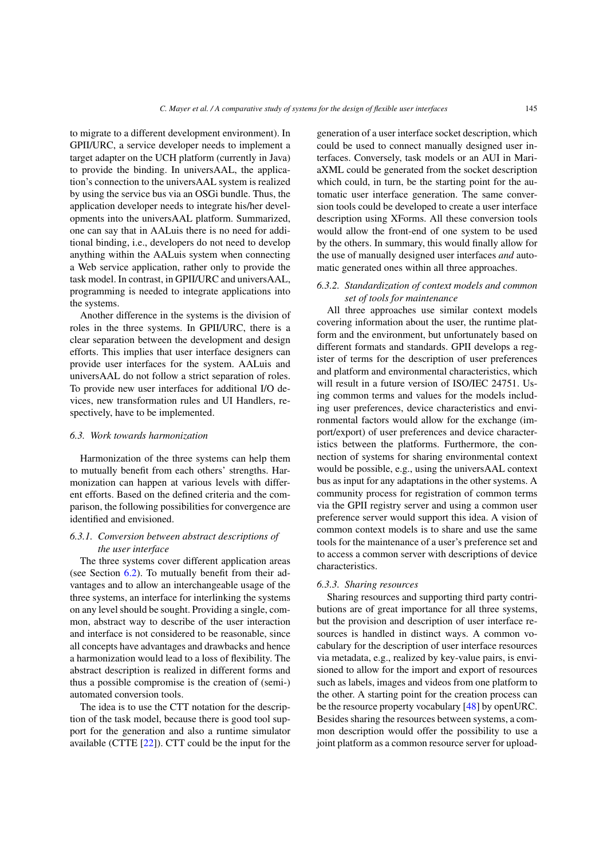to migrate to a different development environment). In GPII/URC, a service developer needs to implement a target adapter on the UCH platform (currently in Java) to provide the binding. In universAAL, the application's connection to the universAAL system is realized by using the service bus via an OSGi bundle. Thus, the application developer needs to integrate his/her developments into the universAAL platform. Summarized, one can say that in AALuis there is no need for additional binding, i.e., developers do not need to develop anything within the AALuis system when connecting a Web service application, rather only to provide the task model. In contrast, in GPII/URC and universAAL, programming is needed to integrate applications into the systems.

Another difference in the systems is the division of roles in the three systems. In GPII/URC, there is a clear separation between the development and design efforts. This implies that user interface designers can provide user interfaces for the system. AALuis and universAAL do not follow a strict separation of roles. To provide new user interfaces for additional I/O devices, new transformation rules and UI Handlers, respectively, have to be implemented.

#### *6.3. Work towards harmonization*

Harmonization of the three systems can help them to mutually benefit from each others' strengths. Harmonization can happen at various levels with different efforts. Based on the defined criteria and the comparison, the following possibilities for convergence are identified and envisioned.

# <span id="page-20-2"></span>*6.3.1. Conversion between abstract descriptions of the user interface*

The three systems cover different application areas (see Section [6.2\)](#page-19-0). To mutually benefit from their advantages and to allow an interchangeable usage of the three systems, an interface for interlinking the systems on any level should be sought. Providing a single, common, abstract way to describe of the user interaction and interface is not considered to be reasonable, since all concepts have advantages and drawbacks and hence a harmonization would lead to a loss of flexibility. The abstract description is realized in different forms and thus a possible compromise is the creation of (semi-) automated conversion tools.

The idea is to use the CTT notation for the description of the task model, because there is good tool support for the generation and also a runtime simulator available (CTTE [\[22\]](#page-22-18)). CTT could be the input for the generation of a user interface socket description, which could be used to connect manually designed user interfaces. Conversely, task models or an AUI in MariaXML could be generated from the socket description which could, in turn, be the starting point for the automatic user interface generation. The same conversion tools could be developed to create a user interface description using XForms. All these conversion tools would allow the front-end of one system to be used by the others. In summary, this would finally allow for the use of manually designed user interfaces *and* automatic generated ones within all three approaches.

# <span id="page-20-1"></span>*6.3.2. Standardization of context models and common set of tools for maintenance*

All three approaches use similar context models covering information about the user, the runtime platform and the environment, but unfortunately based on different formats and standards. GPII develops a register of terms for the description of user preferences and platform and environmental characteristics, which will result in a future version of ISO/IEC 24751. Using common terms and values for the models including user preferences, device characteristics and environmental factors would allow for the exchange (import/export) of user preferences and device characteristics between the platforms. Furthermore, the connection of systems for sharing environmental context would be possible, e.g., using the universAAL context bus as input for any adaptations in the other systems. A community process for registration of common terms via the GPII registry server and using a common user preference server would support this idea. A vision of common context models is to share and use the same tools for the maintenance of a user's preference set and to access a common server with descriptions of device characteristics.

#### <span id="page-20-0"></span>*6.3.3. Sharing resources*

Sharing resources and supporting third party contributions are of great importance for all three systems, but the provision and description of user interface resources is handled in distinct ways. A common vocabulary for the description of user interface resources via metadata, e.g., realized by key-value pairs, is envisioned to allow for the import and export of resources such as labels, images and videos from one platform to the other. A starting point for the creation process can be the resource property vocabulary [\[48](#page-23-23)] by openURC. Besides sharing the resources between systems, a common description would offer the possibility to use a joint platform as a common resource server for upload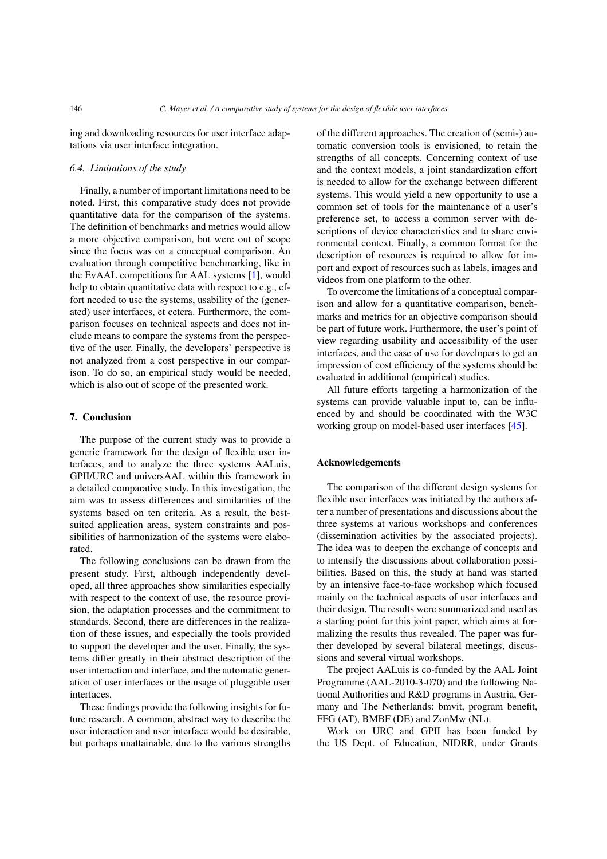ing and downloading resources for user interface adaptations via user interface integration.

#### *6.4. Limitations of the study*

Finally, a number of important limitations need to be noted. First, this comparative study does not provide quantitative data for the comparison of the systems. The definition of benchmarks and metrics would allow a more objective comparison, but were out of scope since the focus was on a conceptual comparison. An evaluation through competitive benchmarking, like in the EvAAL competitions for AAL systems [\[1](#page-22-26)], would help to obtain quantitative data with respect to e.g., effort needed to use the systems, usability of the (generated) user interfaces, et cetera. Furthermore, the comparison focuses on technical aspects and does not include means to compare the systems from the perspective of the user. Finally, the developers' perspective is not analyzed from a cost perspective in our comparison. To do so, an empirical study would be needed, which is also out of scope of the presented work.

#### <span id="page-21-0"></span>**7. Conclusion**

The purpose of the current study was to provide a generic framework for the design of flexible user interfaces, and to analyze the three systems AALuis, GPII/URC and universAAL within this framework in a detailed comparative study. In this investigation, the aim was to assess differences and similarities of the systems based on ten criteria. As a result, the bestsuited application areas, system constraints and possibilities of harmonization of the systems were elaborated.

The following conclusions can be drawn from the present study. First, although independently developed, all three approaches show similarities especially with respect to the context of use, the resource provision, the adaptation processes and the commitment to standards. Second, there are differences in the realization of these issues, and especially the tools provided to support the developer and the user. Finally, the systems differ greatly in their abstract description of the user interaction and interface, and the automatic generation of user interfaces or the usage of pluggable user interfaces.

These findings provide the following insights for future research. A common, abstract way to describe the user interaction and user interface would be desirable, but perhaps unattainable, due to the various strengths of the different approaches. The creation of (semi-) automatic conversion tools is envisioned, to retain the strengths of all concepts. Concerning context of use and the context models, a joint standardization effort is needed to allow for the exchange between different systems. This would yield a new opportunity to use a common set of tools for the maintenance of a user's preference set, to access a common server with descriptions of device characteristics and to share environmental context. Finally, a common format for the description of resources is required to allow for import and export of resources such as labels, images and videos from one platform to the other.

To overcome the limitations of a conceptual comparison and allow for a quantitative comparison, benchmarks and metrics for an objective comparison should be part of future work. Furthermore, the user's point of view regarding usability and accessibility of the user interfaces, and the ease of use for developers to get an impression of cost efficiency of the systems should be evaluated in additional (empirical) studies.

All future efforts targeting a harmonization of the systems can provide valuable input to, can be influenced by and should be coordinated with the W3C working group on model-based user interfaces [\[45](#page-23-24)].

# **Acknowledgements**

The comparison of the different design systems for flexible user interfaces was initiated by the authors after a number of presentations and discussions about the three systems at various workshops and conferences (dissemination activities by the associated projects). The idea was to deepen the exchange of concepts and to intensify the discussions about collaboration possibilities. Based on this, the study at hand was started by an intensive face-to-face workshop which focused mainly on the technical aspects of user interfaces and their design. The results were summarized and used as a starting point for this joint paper, which aims at formalizing the results thus revealed. The paper was further developed by several bilateral meetings, discussions and several virtual workshops.

The project AALuis is co-funded by the AAL Joint Programme (AAL-2010-3-070) and the following National Authorities and R&D programs in Austria, Germany and The Netherlands: bmvit, program benefit, FFG (AT), BMBF (DE) and ZonMw (NL).

Work on URC and GPII has been funded by the US Dept. of Education, NIDRR, under Grants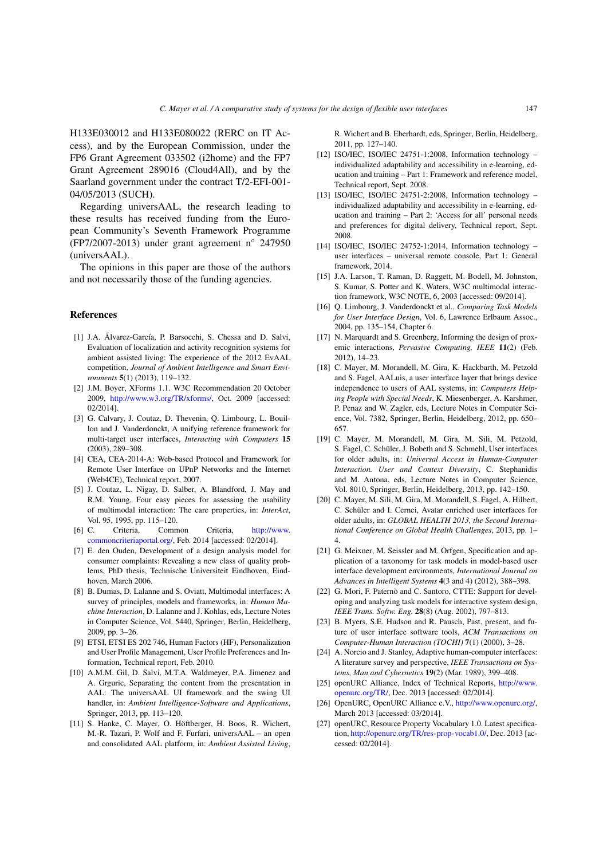H133E030012 and H133E080022 (RERC on IT Access), and by the European Commission, under the FP6 Grant Agreement 033502 (i2home) and the FP7 Grant Agreement 289016 (Cloud4All), and by the Saarland government under the contract T/2-EFI-001- 04/05/2013 (SUCH).

Regarding universAAL, the research leading to these results has received funding from the European Community's Seventh Framework Programme (FP7/2007-2013) under grant agreement n° 247950 (universAAL).

The opinions in this paper are those of the authors and not necessarily those of the funding agencies.

#### **References**

- <span id="page-22-26"></span>[1] J.A. Álvarez-García, P. Barsocchi, S. Chessa and D. Salvi, Evaluation of localization and activity recognition systems for ambient assisted living: The experience of the 2012 EvAAL competition, *Journal of Ambient Intelligence and Smart Environments* **5**(1) (2013), 119–132.
- <span id="page-22-21"></span>[2] J.M. Boyer, XForms 1.1. W3C Recommendation 20 October 2009, [http://www.w3.org/TR/xforms/,](http://www.w3.org/TR/xforms/) Oct. 2009 [accessed: 02/2014].
- <span id="page-22-6"></span>[3] G. Calvary, J. Coutaz, D. Thevenin, Q. Limbourg, L. Bouillon and J. Vanderdonckt, A unifying reference framework for multi-target user interfaces, *Interacting with Computers* **15** (2003), 289–308.
- <span id="page-22-11"></span>[4] CEA, CEA-2014-A: Web-based Protocol and Framework for Remote User Interface on UPnP Networks and the Internet (Web4CE), Technical report, 2007.
- <span id="page-22-4"></span>[5] J. Coutaz, L. Nigay, D. Salber, A. Blandford, J. May and R.M. Young, Four easy pieces for assessing the usability of multimodal interaction: The care properties, in: *InterAct*, Vol. 95, 1995, pp. 115–120.
- <span id="page-22-12"></span>[6] C. Criteria, Common Criteria, [http://www.](http://www.commoncriteriaportal.org/) [commoncriteriaportal.org/,](http://www.commoncriteriaportal.org/) Feb. 2014 [accessed: 02/2014].
- <span id="page-22-0"></span>[7] E. den Ouden, Development of a design analysis model for consumer complaints: Revealing a new class of quality problems, PhD thesis, Technische Universiteit Eindhoven, Eindhoven, March 2006.
- <span id="page-22-24"></span>[8] B. Dumas, D. Lalanne and S. Oviatt, Multimodal interfaces: A survey of principles, models and frameworks, in: *Human Machine Interaction*, D. Lalanne and J. Kohlas, eds, Lecture Notes in Computer Science, Vol. 5440, Springer, Berlin, Heidelberg, 2009, pp. 3–26.
- <span id="page-22-23"></span>[9] ETSI, ETSI ES 202 746, Human Factors (HF), Personalization and User Profile Management, User Profile Preferences and Information, Technical report, Feb. 2010.
- <span id="page-22-20"></span>[10] A.M.M. Gil, D. Salvi, M.T.A. Waldmeyer, P.A. Jimenez and A. Grguric, Separating the content from the presentation in AAL: The universAAL UI framework and the swing UI handler, in: *Ambient Intelligence-Software and Applications*, Springer, 2013, pp. 113–120.
- <span id="page-22-16"></span>[11] S. Hanke, C. Mayer, O. Höftberger, H. Boos, R. Wichert, M.-R. Tazari, P. Wolf and F. Furfari, universAAL – an open and consolidated AAL platform, in: *Ambient Assisted Living*,

R. Wichert and B. Eberhardt, eds, Springer, Berlin, Heidelberg, 2011, pp. 127–140.

- <span id="page-22-15"></span>[12] ISO/IEC, ISO/IEC 24751-1:2008, Information technology – individualized adaptability and accessibility in e-learning, education and training – Part 1: Framework and reference model, Technical report, Sept. 2008.
- <span id="page-22-22"></span>[13] ISO/IEC, ISO/IEC 24751-2:2008, Information technology – individualized adaptability and accessibility in e-learning, education and training – Part 2: 'Access for all' personal needs and preferences for digital delivery, Technical report, Sept. 2008.
- <span id="page-22-10"></span>[14] ISO/IEC, ISO/IEC 24752-1:2014, Information technology – user interfaces – universal remote console, Part 1: General framework, 2014.
- <span id="page-22-5"></span>[15] J.A. Larson, T. Raman, D. Raggett, M. Bodell, M. Johnston, S. Kumar, S. Potter and K. Waters, W3C multimodal interaction framework, W3C NOTE, 6, 2003 [accessed: 09/2014].
- <span id="page-22-1"></span>[16] Q. Limbourg, J. Vanderdonckt et al., *Comparing Task Models for User Interface Design*, Vol. 6, Lawrence Erlbaum Assoc., 2004, pp. 135–154, Chapter 6.
- <span id="page-22-17"></span>[17] N. Marquardt and S. Greenberg, Informing the design of proxemic interactions, *Pervasive Computing, IEEE* **11**(2) (Feb. 2012), 14–23.
- <span id="page-22-8"></span>[18] C. Mayer, M. Morandell, M. Gira, K. Hackbarth, M. Petzold and S. Fagel, AALuis, a user interface layer that brings device independence to users of AAL systems, in: *Computers Helping People with Special Needs*, K. Miesenberger, A. Karshmer, P. Penaz and W. Zagler, eds, Lecture Notes in Computer Science, Vol. 7382, Springer, Berlin, Heidelberg, 2012, pp. 650– 657.
- <span id="page-22-9"></span>[19] C. Mayer, M. Morandell, M. Gira, M. Sili, M. Petzold, S. Fagel, C. Schüler, J. Bobeth and S. Schmehl, User interfaces for older adults, in: *Universal Access in Human-Computer Interaction. User and Context Diversity*, C. Stephanidis and M. Antona, eds, Lecture Notes in Computer Science, Vol. 8010, Springer, Berlin, Heidelberg, 2013, pp. 142–150.
- <span id="page-22-19"></span>[20] C. Mayer, M. Sili, M. Gira, M. Morandell, S. Fagel, A. Hilbert, C. Schüler and I. Cernei, Avatar enriched user interfaces for older adults, in: *GLOBAL HEALTH 2013, the Second International Conference on Global Health Challenges*, 2013, pp. 1– 4.
- <span id="page-22-2"></span>[21] G. Meixner, M. Seissler and M. Orfgen, Specification and application of a taxonomy for task models in model-based user interface development environments, *International Journal on Advances in Intelligent Systems* **4**(3 and 4) (2012), 388–398.
- <span id="page-22-18"></span>[22] G. Mori, F. Paternò and C. Santoro, CTTE: Support for developing and analyzing task models for interactive system design, *IEEE Trans. Softw. Eng.* **28**(8) (Aug. 2002), 797–813.
- <span id="page-22-3"></span>[23] B. Myers, S.E. Hudson and R. Pausch, Past, present, and future of user interface software tools, *ACM Transactions on Computer-Human Interaction (TOCHI)* **7**(1) (2000), 3–28.
- <span id="page-22-7"></span>[24] A. Norcio and J. Stanley, Adaptive human-computer interfaces: A literature survey and perspective, *IEEE Transactions on Systems, Man and Cybernetics* **19**(2) (Mar. 1989), 399–408.
- <span id="page-22-25"></span>[25] openURC Alliance, Index of Technical Reports, [http://www.](http://www.openurc.org/TR/) [openurc.org/TR/,](http://www.openurc.org/TR/) Dec. 2013 [accessed: 02/2014].
- <span id="page-22-14"></span>[26] OpenURC, OpenURC Alliance e.V., [http://www.openurc.org/,](http://www.openurc.org/) March 2013 [accessed: 03/2014].
- <span id="page-22-13"></span>[27] openURC, Resource Property Vocabulary 1.0. Latest specification, [http://openurc.org/TR/res-prop-vocab1.0/,](http://openurc.org/TR/res-prop-vocab1.0/) Dec. 2013 [accessed: 02/2014].